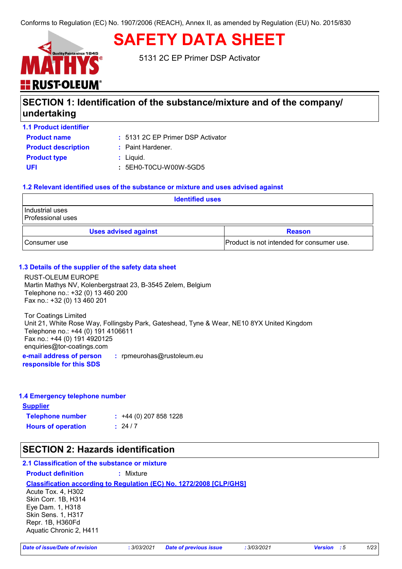

**SAFETY DATA SHEET**

5131 2C EP Primer DSP Activator

# **SECTION 1: Identification of the substance/mixture and of the company/ undertaking**

**1.1 Product identifier**

5131 2C EP Primer DSP Activator **:**

| <b>Product name</b>        |
|----------------------------|
| <b>Product description</b> |
| <b>Product type</b>        |
| UEL                        |

**:** Paint Hardener.

**Product type :** Liquid.

**UFI :** 5EH0-T0CU-W00W-5GD5

#### **1.2 Relevant identified uses of the substance or mixture and uses advised against**

| <b>Identified uses</b>                                    |  |  |
|-----------------------------------------------------------|--|--|
| Industrial uses<br>Professional uses                      |  |  |
| <b>Uses advised against</b><br><b>Reason</b>              |  |  |
| Product is not intended for consumer use.<br>Consumer use |  |  |

#### **1.3 Details of the supplier of the safety data sheet**

RUST-OLEUM EUROPE Martin Mathys NV, Kolenbergstraat 23, B-3545 Zelem, Belgium Telephone no.: +32 (0) 13 460 200 Fax no.: +32 (0) 13 460 201

Tor Coatings Limited Unit 21, White Rose Way, Follingsby Park, Gateshead, Tyne & Wear, NE10 8YX United Kingdom Telephone no.: +44 (0) 191 4106611 Fax no.: +44 (0) 191 4920125 enquiries@tor-coatings.com

**e-mail address of person responsible for this SDS :** rpmeurohas@rustoleum.eu

#### **1.4 Emergency telephone number**

**Supplier Telephone number : Hours of operation :**  $: 24/7$  $\div$  +44 (0) 207 858 1228

## **SECTION 2: Hazards identification**

### **2.1 Classification of the substance or mixture**

**Product definition :** Mixture

**Classification according to Regulation (EC) No. 1272/2008 [CLP/GHS]**

Acute Tox. 4, H302 Skin Corr. 1B, H314 Eye Dam. 1, H318 Skin Sens. 1, H317 Repr. 1B, H360Fd Aquatic Chronic 2, H411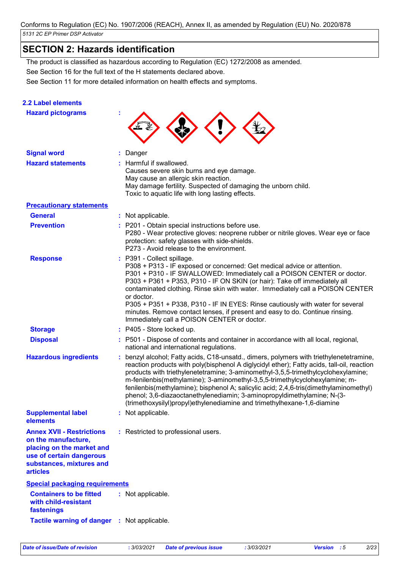# **SECTION 2: Hazards identification**

**2.2 Label elements**

See Section 16 for the full text of the H statements declared above. The product is classified as hazardous according to Regulation (EC) 1272/2008 as amended.

|  | See Section 11 for more detailed information on health effects and symptoms. |  |
|--|------------------------------------------------------------------------------|--|
|  |                                                                              |  |

| <b>Hazard pictograms</b>                                                                                                                                        |                                                                                                                                                                                                                                                                                                                                                                                                                                                                                                                                                                                                        |
|-----------------------------------------------------------------------------------------------------------------------------------------------------------------|--------------------------------------------------------------------------------------------------------------------------------------------------------------------------------------------------------------------------------------------------------------------------------------------------------------------------------------------------------------------------------------------------------------------------------------------------------------------------------------------------------------------------------------------------------------------------------------------------------|
| <b>Signal word</b>                                                                                                                                              | Danger                                                                                                                                                                                                                                                                                                                                                                                                                                                                                                                                                                                                 |
| <b>Hazard statements</b>                                                                                                                                        | : Harmful if swallowed.<br>Causes severe skin burns and eye damage.<br>May cause an allergic skin reaction.<br>May damage fertility. Suspected of damaging the unborn child.<br>Toxic to aquatic life with long lasting effects.                                                                                                                                                                                                                                                                                                                                                                       |
| <b>Precautionary statements</b>                                                                                                                                 |                                                                                                                                                                                                                                                                                                                                                                                                                                                                                                                                                                                                        |
| <b>General</b>                                                                                                                                                  | : Not applicable.                                                                                                                                                                                                                                                                                                                                                                                                                                                                                                                                                                                      |
| <b>Prevention</b>                                                                                                                                               | : P201 - Obtain special instructions before use.<br>P280 - Wear protective gloves: neoprene rubber or nitrile gloves. Wear eye or face<br>protection: safety glasses with side-shields.<br>P273 - Avoid release to the environment.                                                                                                                                                                                                                                                                                                                                                                    |
| <b>Response</b>                                                                                                                                                 | : P391 - Collect spillage.<br>P308 + P313 - IF exposed or concerned: Get medical advice or attention.<br>P301 + P310 - IF SWALLOWED: Immediately call a POISON CENTER or doctor.<br>P303 + P361 + P353, P310 - IF ON SKIN (or hair): Take off immediately all<br>contaminated clothing. Rinse skin with water. Immediately call a POISON CENTER<br>or doctor.<br>P305 + P351 + P338, P310 - IF IN EYES: Rinse cautiously with water for several<br>minutes. Remove contact lenses, if present and easy to do. Continue rinsing.<br>Immediately call a POISON CENTER or doctor.                         |
| <b>Storage</b>                                                                                                                                                  | : P405 - Store locked up.                                                                                                                                                                                                                                                                                                                                                                                                                                                                                                                                                                              |
| <b>Disposal</b>                                                                                                                                                 | : P501 - Dispose of contents and container in accordance with all local, regional,<br>national and international regulations.                                                                                                                                                                                                                                                                                                                                                                                                                                                                          |
| <b>Hazardous ingredients</b>                                                                                                                                    | benzyl alcohol; Fatty acids, C18-unsatd., dimers, polymers with triethylenetetramine,<br>reaction products with poly(bisphenol A diglycidyl ether); Fatty acids, tall-oil, reaction<br>products with triethylenetetramine; 3-aminomethyl-3,5,5-trimethylcyclohexylamine;<br>m-fenilenbis(methylamine); 3-aminomethyl-3,5,5-trimethylcyclohexylamine; m-<br>fenilenbis(methylamine); bisphenol A; salicylic acid; 2,4,6-tris(dimethylaminomethyl)<br>phenol; 3,6-diazaoctanethylenediamin; 3-aminopropyldimethylamine; N-(3-<br>(trimethoxysilyl)propyl)ethylenediamine and trimethylhexane-1,6-diamine |
| <b>Supplemental label</b><br>elements                                                                                                                           | : Not applicable.                                                                                                                                                                                                                                                                                                                                                                                                                                                                                                                                                                                      |
| <b>Annex XVII - Restrictions</b><br>on the manufacture,<br>placing on the market and<br>use of certain dangerous<br>substances, mixtures and<br><b>articles</b> | : Restricted to professional users.                                                                                                                                                                                                                                                                                                                                                                                                                                                                                                                                                                    |
| <b>Special packaging requirements</b>                                                                                                                           |                                                                                                                                                                                                                                                                                                                                                                                                                                                                                                                                                                                                        |
| <b>Containers to be fitted</b><br>with child-resistant<br>fastenings                                                                                            | : Not applicable.                                                                                                                                                                                                                                                                                                                                                                                                                                                                                                                                                                                      |
| Tactile warning of danger : Not applicable.                                                                                                                     |                                                                                                                                                                                                                                                                                                                                                                                                                                                                                                                                                                                                        |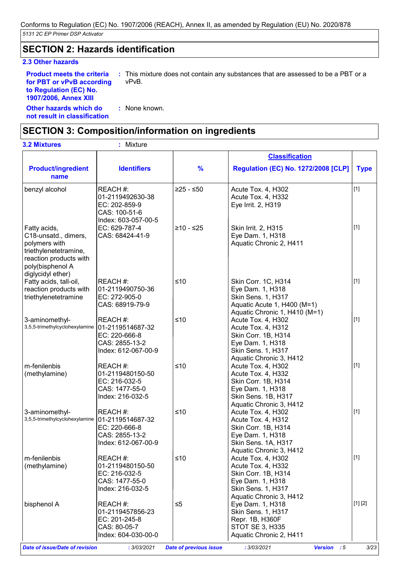## **SECTION 2: Hazards identification**

#### **2.3 Other hazards**

**Other hazards which do :** : None known. **Product meets the criteria for PBT or vPvB according to Regulation (EC) No. 1907/2006, Annex XIII :** This mixture does not contain any substances that are assessed to be a PBT or a vPvB.

**not result in classification**

# **SECTION 3: Composition/information on ingredients**

| <b>3.2 Mixtures</b>                                                                                                                               | : Mixture                                                                              |               |                                                                                                                                       |             |
|---------------------------------------------------------------------------------------------------------------------------------------------------|----------------------------------------------------------------------------------------|---------------|---------------------------------------------------------------------------------------------------------------------------------------|-------------|
|                                                                                                                                                   |                                                                                        |               | <b>Classification</b>                                                                                                                 |             |
| <b>Product/ingredient</b><br>name                                                                                                                 | <b>Identifiers</b>                                                                     | $\frac{9}{6}$ | <b>Regulation (EC) No. 1272/2008 [CLP]</b>                                                                                            | <b>Type</b> |
| benzyl alcohol                                                                                                                                    | REACH #:<br>01-2119492630-38<br>EC: 202-859-9<br>CAS: 100-51-6<br>Index: 603-057-00-5  | $≥25 - ≤50$   | Acute Tox. 4, H302<br>Acute Tox. 4, H332<br>Eye Irrit. 2, H319                                                                        | $[1]$       |
| Fatty acids,<br>C18-unsatd., dimers,<br>polymers with<br>triethylenetetramine,<br>reaction products with<br>poly(bisphenol A<br>diglycidyl ether) | EC: 629-787-4<br>CAS: 68424-41-9                                                       | $≥10 - ≤25$   | Skin Irrit. 2, H315<br>Eye Dam. 1, H318<br>Aquatic Chronic 2, H411                                                                    | $[1]$       |
| Fatty acids, tall-oil,<br>reaction products with<br>triethylenetetramine                                                                          | REACH#:<br>01-2119490750-36<br>EC: 272-905-0<br>CAS: 68919-79-9                        | $≤10$         | Skin Corr. 1C, H314<br>Eye Dam. 1, H318<br>Skin Sens. 1, H317<br>Aquatic Acute 1, H400 (M=1)<br>Aquatic Chronic 1, H410 (M=1)         | $[1]$       |
| 3-aminomethyl-<br>3,5,5-trimethylcyclohexylamine                                                                                                  | REACH #:<br>01-2119514687-32<br>EC: 220-666-8<br>CAS: 2855-13-2<br>Index: 612-067-00-9 | $≤10$         | Acute Tox. 4, H302<br>Acute Tox. 4, H312<br>Skin Corr. 1B, H314<br>Eye Dam. 1, H318<br>Skin Sens. 1, H317<br>Aquatic Chronic 3, H412  | $[1]$       |
| m-fenilenbis<br>(methylamine)                                                                                                                     | REACH #:<br>01-2119480150-50<br>EC: 216-032-5<br>CAS: 1477-55-0<br>Index: 216-032-5    | $≤10$         | Acute Tox. 4, H302<br>Acute Tox. 4, H332<br>Skin Corr. 1B, H314<br>Eye Dam. 1, H318<br>Skin Sens. 1B, H317<br>Aquatic Chronic 3, H412 | $[1]$       |
| 3-aminomethyl-<br>3,5,5-trimethylcyclohexylamine                                                                                                  | REACH #:<br>01-2119514687-32<br>EC: 220-666-8<br>CAS: 2855-13-2<br>Index: 612-067-00-9 | $≤10$         | Acute Tox. 4, H302<br>Acute Tox. 4, H312<br>Skin Corr. 1B, H314<br>Eye Dam. 1, H318<br>Skin Sens. 1A, H317<br>Aquatic Chronic 3, H412 | $[1]$       |
| m-fenilenbis<br>(methylamine)                                                                                                                     | REACH#:<br>01-2119480150-50<br>EC: 216-032-5<br>CAS: 1477-55-0<br>Index: 216-032-5     | $≤10$         | Acute Tox. 4, H302<br>Acute Tox. 4, H332<br>Skin Corr. 1B, H314<br>Eye Dam. 1, H318<br>Skin Sens. 1, H317<br>Aquatic Chronic 3, H412  | $[1]$       |
| bisphenol A                                                                                                                                       | REACH #:<br>01-2119457856-23<br>EC: 201-245-8<br>CAS: 80-05-7<br>Index: 604-030-00-0   | $\leq 5$      | Eye Dam. 1, H318<br>Skin Sens. 1, H317<br>Repr. 1B, H360F<br><b>STOT SE 3, H335</b><br>Aquatic Chronic 2, H411                        | [1] [2]     |

*Date of issue/Date of revision* **:** *3/03/2021 Date of previous issue : 3/03/2021 Version : 5 3/23*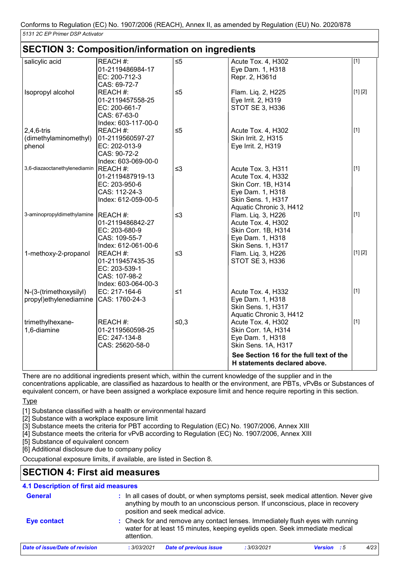|                                                  | <b>SECTION 3: Composition/information on ingredients</b>                              |          |                                                                                                                                      |         |
|--------------------------------------------------|---------------------------------------------------------------------------------------|----------|--------------------------------------------------------------------------------------------------------------------------------------|---------|
| salicylic acid                                   | REACH #:<br>01-2119486984-17<br>EC: 200-712-3<br>CAS: 69-72-7                         | $\leq 5$ | Acute Tox. 4, H302<br>Eye Dam. 1, H318<br>Repr. 2, H361d                                                                             | $[1]$   |
| Isopropyl alcohol                                | REACH #:<br>01-2119457558-25<br>EC: 200-661-7<br>CAS: 67-63-0<br>Index: 603-117-00-0  | $\leq 5$ | Flam. Liq. 2, H225<br>Eye Irrit. 2, H319<br>STOT SE 3, H336                                                                          | [1] [2] |
| $2,4,6$ -tris<br>(dimethylaminomethyl)<br>phenol | REACH #:<br>01-2119560597-27<br>EC: 202-013-9<br>CAS: 90-72-2<br>Index: 603-069-00-0  | $\leq 5$ | Acute Tox. 4, H302<br>Skin Irrit. 2, H315<br>Eye Irrit. 2, H319                                                                      | $[1]$   |
| 3,6-diazaoctanethylenediamin                     | REACH #:<br>01-2119487919-13<br>EC: 203-950-6<br>CAS: 112-24-3<br>Index: 612-059-00-5 | $\leq$ 3 | Acute Tox. 3, H311<br>Acute Tox. 4, H332<br>Skin Corr. 1B, H314<br>Eye Dam. 1, H318<br>Skin Sens. 1, H317<br>Aquatic Chronic 3, H412 | $[1]$   |
| 3-aminopropyldimethylamine REACH #:              | 01-2119486842-27<br>EC: 203-680-9<br>CAS: 109-55-7<br>Index: 612-061-00-6             | $\leq$ 3 | Flam. Liq. 3, H226<br>Acute Tox. 4, H302<br>Skin Corr. 1B, H314<br>Eye Dam. 1, H318<br>Skin Sens. 1, H317                            | $[1]$   |
| 1-methoxy-2-propanol                             | REACH #:<br>01-2119457435-35<br>EC: 203-539-1<br>CAS: 107-98-2<br>Index: 603-064-00-3 | $\leq$ 3 | Flam. Liq. 3, H226<br>STOT SE 3, H336                                                                                                | [1] [2] |
| N-(3-(trimethoxysilyl)<br>propyl)ethylenediamine | EC: 217-164-6<br>CAS: 1760-24-3                                                       | $\leq 1$ | Acute Tox. 4, H332<br>Eye Dam. 1, H318<br>Skin Sens. 1, H317<br>Aquatic Chronic 3, H412                                              | $[1]$   |
| trimethylhexane-<br>1,6-diamine                  | REACH #:<br>01-2119560598-25<br>EC: 247-134-8<br>CAS: 25620-58-0                      | $≤0,3$   | Acute Tox. 4, H302<br>Skin Corr. 1A, H314<br>Eye Dam. 1, H318<br>Skin Sens. 1A, H317                                                 | $[1]$   |
|                                                  |                                                                                       |          | See Section 16 for the full text of the<br>H statements declared above.                                                              |         |

There are no additional ingredients present which, within the current knowledge of the supplier and in the

concentrations applicable, are classified as hazardous to health or the environment, are PBTs, vPvBs or Substances of equivalent concern, or have been assigned a workplace exposure limit and hence require reporting in this section.

Type

[1] Substance classified with a health or environmental hazard

[2] Substance with a workplace exposure limit

[3] Substance meets the criteria for PBT according to Regulation (EC) No. 1907/2006, Annex XIII

[4] Substance meets the criteria for vPvB according to Regulation (EC) No. 1907/2006, Annex XIII

[5] Substance of equivalent concern

[6] Additional disclosure due to company policy

Occupational exposure limits, if available, are listed in Section 8.

## **SECTION 4: First aid measures**

#### **4.1 Description of first aid measures**

| <b>General</b>                 |             | anything by mouth to an unconscious person. If unconscious, place in recovery<br>position and seek medical advice.                                            |             | : In all cases of doubt, or when symptoms persist, seek medical attention. Never give |  |
|--------------------------------|-------------|---------------------------------------------------------------------------------------------------------------------------------------------------------------|-------------|---------------------------------------------------------------------------------------|--|
| Eye contact                    | attention.  | : Check for and remove any contact lenses. Immediately flush eyes with running<br>water for at least 15 minutes, keeping eyelids open. Seek immediate medical |             |                                                                                       |  |
| Date of issue/Date of revision | : 3/03/2021 | <b>Date of previous issue</b>                                                                                                                                 | : 3/03/2021 | 4/23<br><b>Version</b><br>- 55                                                        |  |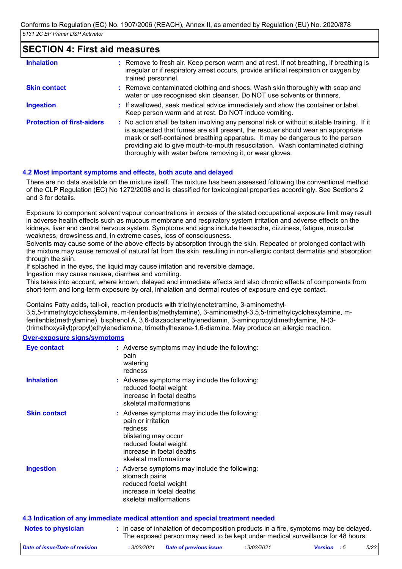## **SECTION 4: First aid measures**

| <b>Inhalation</b>                 | : Remove to fresh air. Keep person warm and at rest. If not breathing, if breathing is<br>irregular or if respiratory arrest occurs, provide artificial respiration or oxygen by<br>trained personnel.                                                                                                                                                                                                          |
|-----------------------------------|-----------------------------------------------------------------------------------------------------------------------------------------------------------------------------------------------------------------------------------------------------------------------------------------------------------------------------------------------------------------------------------------------------------------|
| <b>Skin contact</b>               | : Remove contaminated clothing and shoes. Wash skin thoroughly with soap and<br>water or use recognised skin cleanser. Do NOT use solvents or thinners.                                                                                                                                                                                                                                                         |
| <b>Ingestion</b>                  | : If swallowed, seek medical advice immediately and show the container or label.<br>Keep person warm and at rest. Do NOT induce vomiting.                                                                                                                                                                                                                                                                       |
| <b>Protection of first-aiders</b> | : No action shall be taken involving any personal risk or without suitable training. If it<br>is suspected that fumes are still present, the rescuer should wear an appropriate<br>mask or self-contained breathing apparatus. It may be dangerous to the person<br>providing aid to give mouth-to-mouth resuscitation. Wash contaminated clothing<br>thoroughly with water before removing it, or wear gloves. |

#### **4.2 Most important symptoms and effects, both acute and delayed**

There are no data available on the mixture itself. The mixture has been assessed following the conventional method of the CLP Regulation (EC) No 1272/2008 and is classified for toxicological properties accordingly. See Sections 2 and 3 for details.

Exposure to component solvent vapour concentrations in excess of the stated occupational exposure limit may result in adverse health effects such as mucous membrane and respiratory system irritation and adverse effects on the kidneys, liver and central nervous system. Symptoms and signs include headache, dizziness, fatigue, muscular weakness, drowsiness and, in extreme cases, loss of consciousness.

Solvents may cause some of the above effects by absorption through the skin. Repeated or prolonged contact with the mixture may cause removal of natural fat from the skin, resulting in non-allergic contact dermatitis and absorption through the skin.

If splashed in the eyes, the liquid may cause irritation and reversible damage.

Ingestion may cause nausea, diarrhea and vomiting.

This takes into account, where known, delayed and immediate effects and also chronic effects of components from short-term and long-term exposure by oral, inhalation and dermal routes of exposure and eye contact.

Contains Fatty acids, tall-oil, reaction products with triethylenetetramine, 3-aminomethyl-

3,5,5-trimethylcyclohexylamine, m-fenilenbis(methylamine), 3-aminomethyl-3,5,5-trimethylcyclohexylamine, mfenilenbis(methylamine), bisphenol A, 3,6-diazaoctanethylenediamin, 3-aminopropyldimethylamine, N-(3- (trimethoxysilyl)propyl)ethylenediamine, trimethylhexane-1,6-diamine. May produce an allergic reaction.

#### **Over-exposure signs/symptoms**

| <b>Eye contact</b>  | : Adverse symptoms may include the following:<br>pain<br>watering<br>redness                                                                                                           |
|---------------------|----------------------------------------------------------------------------------------------------------------------------------------------------------------------------------------|
| <b>Inhalation</b>   | : Adverse symptoms may include the following:<br>reduced foetal weight<br>increase in foetal deaths<br>skeletal malformations                                                          |
| <b>Skin contact</b> | : Adverse symptoms may include the following:<br>pain or irritation<br>redness<br>blistering may occur<br>reduced foetal weight<br>increase in foetal deaths<br>skeletal malformations |
| <b>Ingestion</b>    | : Adverse symptoms may include the following:<br>stomach pains<br>reduced foetal weight<br>increase in foetal deaths<br>skeletal malformations                                         |
|                     | 4.3 Indication of any immediate medical attention and special treatment needed                                                                                                         |
|                     |                                                                                                                                                                                        |

**Notes to physician In case of inhalation of decomposition products in a fire, symptoms may be delayed.** The exposed person may need to be kept under medical surveillance for 48 hours.

| Date of issue/Date of revision | 3/03/2021 | <b>Date of previous issue</b> | , 3/03/2021 | <b>Version</b> : 5 | 5/23 |
|--------------------------------|-----------|-------------------------------|-------------|--------------------|------|
|                                |           |                               |             |                    |      |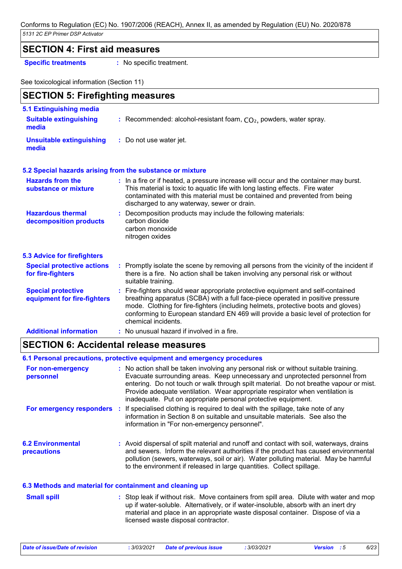## **SECTION 4: First aid measures**

**Specific treatments :** No specific treatment.

See toxicological information (Section 11)

| <b>SECTION 5: Firefighting measures</b>                  |                                                                                                                                                                                                                                                                                                                                                                       |  |  |  |  |
|----------------------------------------------------------|-----------------------------------------------------------------------------------------------------------------------------------------------------------------------------------------------------------------------------------------------------------------------------------------------------------------------------------------------------------------------|--|--|--|--|
| 5.1 Extinguishing media                                  |                                                                                                                                                                                                                                                                                                                                                                       |  |  |  |  |
| <b>Suitable extinguishing</b><br>media                   | : Recommended: alcohol-resistant foam, $CO2$ , powders, water spray.                                                                                                                                                                                                                                                                                                  |  |  |  |  |
| <b>Unsuitable extinguishing</b><br>media                 | : Do not use water jet.                                                                                                                                                                                                                                                                                                                                               |  |  |  |  |
|                                                          | 5.2 Special hazards arising from the substance or mixture                                                                                                                                                                                                                                                                                                             |  |  |  |  |
| <b>Hazards from the</b><br>substance or mixture          | : In a fire or if heated, a pressure increase will occur and the container may burst.<br>This material is toxic to aquatic life with long lasting effects. Fire water<br>contaminated with this material must be contained and prevented from being<br>discharged to any waterway, sewer or drain.                                                                    |  |  |  |  |
| <b>Hazardous thermal</b><br>decomposition products       | : Decomposition products may include the following materials:<br>carbon dioxide<br>carbon monoxide<br>nitrogen oxides                                                                                                                                                                                                                                                 |  |  |  |  |
| <b>5.3 Advice for firefighters</b>                       |                                                                                                                                                                                                                                                                                                                                                                       |  |  |  |  |
| <b>Special protective actions</b><br>for fire-fighters   | : Promptly isolate the scene by removing all persons from the vicinity of the incident if<br>there is a fire. No action shall be taken involving any personal risk or without<br>suitable training.                                                                                                                                                                   |  |  |  |  |
| <b>Special protective</b><br>equipment for fire-fighters | : Fire-fighters should wear appropriate protective equipment and self-contained<br>breathing apparatus (SCBA) with a full face-piece operated in positive pressure<br>mode. Clothing for fire-fighters (including helmets, protective boots and gloves)<br>conforming to European standard EN 469 will provide a basic level of protection for<br>chemical incidents. |  |  |  |  |
| <b>Additional information</b>                            | : No unusual hazard if involved in a fire.                                                                                                                                                                                                                                                                                                                            |  |  |  |  |

# **SECTION 6: Accidental release measures**

|                                                          | 6.1 Personal precautions, protective equipment and emergency procedures                                                                                                                                                                                                                                                                                                                                        |
|----------------------------------------------------------|----------------------------------------------------------------------------------------------------------------------------------------------------------------------------------------------------------------------------------------------------------------------------------------------------------------------------------------------------------------------------------------------------------------|
| For non-emergency<br>personnel                           | : No action shall be taken involving any personal risk or without suitable training.<br>Evacuate surrounding areas. Keep unnecessary and unprotected personnel from<br>entering. Do not touch or walk through spilt material. Do not breathe vapour or mist.<br>Provide adequate ventilation. Wear appropriate respirator when ventilation is<br>inadequate. Put on appropriate personal protective equipment. |
|                                                          | For emergency responders : If specialised clothing is required to deal with the spillage, take note of any<br>information in Section 8 on suitable and unsuitable materials. See also the<br>information in "For non-emergency personnel".                                                                                                                                                                     |
| <b>6.2 Environmental</b><br><b>precautions</b>           | : Avoid dispersal of spilt material and runoff and contact with soil, waterways, drains<br>and sewers. Inform the relevant authorities if the product has caused environmental<br>pollution (sewers, waterways, soil or air). Water polluting material. May be harmful<br>to the environment if released in large quantities. Collect spillage.                                                                |
| 6.3 Methods and material for containment and cleaning up |                                                                                                                                                                                                                                                                                                                                                                                                                |

| <b>Small spill</b> | : Stop leak if without risk. Move containers from spill area. Dilute with water and mop |
|--------------------|-----------------------------------------------------------------------------------------|
|                    | up if water-soluble. Alternatively, or if water-insoluble, absorb with an inert dry     |
|                    | material and place in an appropriate waste disposal container. Dispose of via a         |
|                    | licensed waste disposal contractor.                                                     |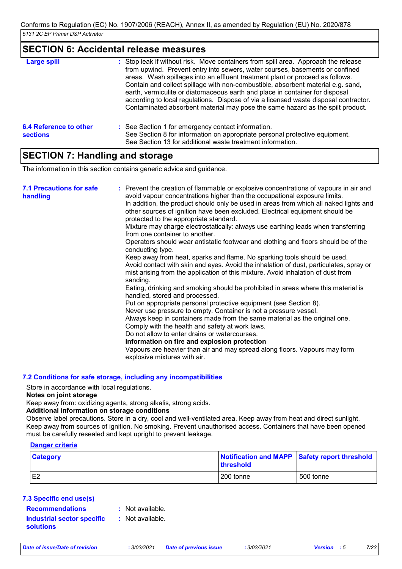## **SECTION 6: Accidental release measures**

| <b>Large spill</b>                        | : Stop leak if without risk. Move containers from spill area. Approach the release<br>from upwind. Prevent entry into sewers, water courses, basements or confined<br>areas. Wash spillages into an effluent treatment plant or proceed as follows.<br>Contain and collect spillage with non-combustible, absorbent material e.g. sand,<br>earth, vermiculite or diatomaceous earth and place in container for disposal<br>according to local regulations. Dispose of via a licensed waste disposal contractor.<br>Contaminated absorbent material may pose the same hazard as the spilt product. |
|-------------------------------------------|---------------------------------------------------------------------------------------------------------------------------------------------------------------------------------------------------------------------------------------------------------------------------------------------------------------------------------------------------------------------------------------------------------------------------------------------------------------------------------------------------------------------------------------------------------------------------------------------------|
| 6.4 Reference to other<br><b>sections</b> | : See Section 1 for emergency contact information.<br>See Section 8 for information on appropriate personal protective equipment.<br>See Section 13 for additional waste treatment information.                                                                                                                                                                                                                                                                                                                                                                                                   |

# **SECTION 7: Handling and storage**

The information in this section contains generic advice and guidance.

| <b>7.1 Precautions for safe</b><br>handling | : Prevent the creation of flammable or explosive concentrations of vapours in air and<br>avoid vapour concentrations higher than the occupational exposure limits.<br>In addition, the product should only be used in areas from which all naked lights and<br>other sources of ignition have been excluded. Electrical equipment should be<br>protected to the appropriate standard.<br>Mixture may charge electrostatically: always use earthing leads when transferring<br>from one container to another.<br>Operators should wear antistatic footwear and clothing and floors should be of the<br>conducting type.<br>Keep away from heat, sparks and flame. No sparking tools should be used.<br>Avoid contact with skin and eyes. Avoid the inhalation of dust, particulates, spray or<br>mist arising from the application of this mixture. Avoid inhalation of dust from<br>sanding.<br>Eating, drinking and smoking should be prohibited in areas where this material is<br>handled, stored and processed.<br>Put on appropriate personal protective equipment (see Section 8).<br>Never use pressure to empty. Container is not a pressure vessel.<br>Always keep in containers made from the same material as the original one.<br>Comply with the health and safety at work laws.<br>Do not allow to enter drains or watercourses.<br>Information on fire and explosion protection<br>Vapours are heavier than air and may spread along floors. Vapours may form |
|---------------------------------------------|------------------------------------------------------------------------------------------------------------------------------------------------------------------------------------------------------------------------------------------------------------------------------------------------------------------------------------------------------------------------------------------------------------------------------------------------------------------------------------------------------------------------------------------------------------------------------------------------------------------------------------------------------------------------------------------------------------------------------------------------------------------------------------------------------------------------------------------------------------------------------------------------------------------------------------------------------------------------------------------------------------------------------------------------------------------------------------------------------------------------------------------------------------------------------------------------------------------------------------------------------------------------------------------------------------------------------------------------------------------------------------------------------------------------------------------------------------------------------|
|                                             | explosive mixtures with air.                                                                                                                                                                                                                                                                                                                                                                                                                                                                                                                                                                                                                                                                                                                                                                                                                                                                                                                                                                                                                                                                                                                                                                                                                                                                                                                                                                                                                                                 |

#### **7.2 Conditions for safe storage, including any incompatibilities**

Store in accordance with local regulations.

#### **Notes on joint storage**

Keep away from: oxidizing agents, strong alkalis, strong acids.

#### **Additional information on storage conditions**

Observe label precautions. Store in a dry, cool and well-ventilated area. Keep away from heat and direct sunlight. Keep away from sources of ignition. No smoking. Prevent unauthorised access. Containers that have been opened must be carefully resealed and kept upright to prevent leakage.

#### **Danger criteria**

| <b>Category</b> | <b>threshold</b> | Notification and MAPP Safety report threshold |
|-----------------|------------------|-----------------------------------------------|
| E <sub>2</sub>  | 200 tonne        | 500 tonne                                     |

#### **7.3 Specific end use(s)**

**Recommendations : Industrial sector specific : solutions**

: Not available.

: Not available.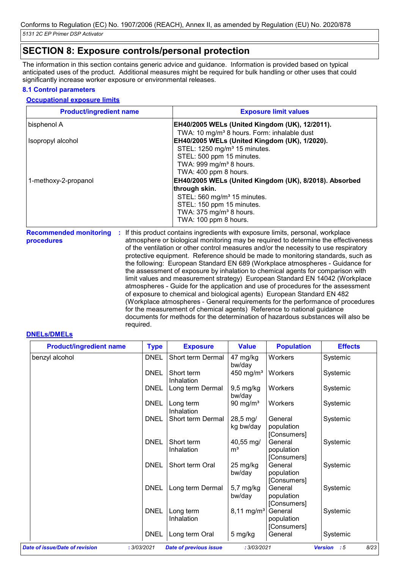# **SECTION 8: Exposure controls/personal protection**

The information in this section contains generic advice and guidance. Information is provided based on typical anticipated uses of the product. Additional measures might be required for bulk handling or other uses that could significantly increase worker exposure or environmental releases.

#### **8.1 Control parameters**

#### **Occupational exposure limits**

| <b>Product/ingredient name</b> | <b>Exposure limit values</b>                                                                                                                                                                                    |
|--------------------------------|-----------------------------------------------------------------------------------------------------------------------------------------------------------------------------------------------------------------|
| bisphenol A                    | <b>EH40/2005 WELs (United Kingdom (UK), 12/2011).</b>                                                                                                                                                           |
| Isopropyl alcohol              | TWA: 10 mg/m <sup>3</sup> 8 hours. Form: inhalable dust<br><b>EH40/2005 WELs (United Kingdom (UK), 1/2020).</b>                                                                                                 |
|                                | STEL: 1250 mg/m <sup>3</sup> 15 minutes.<br>STEL: 500 ppm 15 minutes.<br>TWA: 999 mg/m <sup>3</sup> 8 hours.<br>TWA: 400 ppm 8 hours.                                                                           |
| 1-methoxy-2-propanol           | EH40/2005 WELs (United Kingdom (UK), 8/2018). Absorbed<br>through skin.<br>STEL: 560 mg/m <sup>3</sup> 15 minutes.<br>STEL: 150 ppm 15 minutes.<br>TWA: 375 mg/m <sup>3</sup> 8 hours.<br>TWA: 100 ppm 8 hours. |

**Recommended monitoring procedures :** If this product contains ingredients with exposure limits, personal, workplace atmosphere or biological monitoring may be required to determine the effectiveness of the ventilation or other control measures and/or the necessity to use respiratory protective equipment. Reference should be made to monitoring standards, such as the following: European Standard EN 689 (Workplace atmospheres - Guidance for the assessment of exposure by inhalation to chemical agents for comparison with limit values and measurement strategy) European Standard EN 14042 (Workplace atmospheres - Guide for the application and use of procedures for the assessment of exposure to chemical and biological agents) European Standard EN 482 (Workplace atmospheres - General requirements for the performance of procedures for the measurement of chemical agents) Reference to national guidance documents for methods for the determination of hazardous substances will also be required.

#### **DNELs/DMELs**

| <b>Product/ingredient name</b> | <b>Type</b> | <b>Exposure</b>          | <b>Value</b>                | <b>Population</b>                    | <b>Effects</b> |
|--------------------------------|-------------|--------------------------|-----------------------------|--------------------------------------|----------------|
| benzyl alcohol                 | <b>DNEL</b> | Short term Dermal        | 47 mg/kg<br>bw/day          | Workers                              | Systemic       |
|                                | <b>DNEL</b> | Short term<br>Inhalation | 450 mg/ $m3$                | Workers                              | Systemic       |
|                                | <b>DNEL</b> | Long term Dermal         | $9,5$ mg/kg<br>bw/day       | Workers                              | Systemic       |
|                                | <b>DNEL</b> | Long term<br>Inhalation  | 90 mg/ $m3$                 | Workers                              | Systemic       |
|                                | <b>DNEL</b> | Short term Dermal        | 28,5 mg/<br>kg bw/day       | General<br>population<br>[Consumers] | Systemic       |
|                                | <b>DNEL</b> | Short term<br>Inhalation | 40,55 mg/<br>m <sup>3</sup> | General<br>population<br>[Consumers] | Systemic       |
|                                | <b>DNEL</b> | Short term Oral          | 25 mg/kg<br>bw/day          | General<br>population<br>[Consumers] | Systemic       |
|                                | <b>DNEL</b> | Long term Dermal         | $5,7$ mg/kg<br>bw/day       | General<br>population<br>[Consumers] | Systemic       |
|                                | <b>DNEL</b> | Long term<br>Inhalation  | 8,11 mg/m <sup>3</sup>      | General<br>population<br>[Consumers] | Systemic       |
|                                | <b>DNEL</b> | Long term Oral           | 5 mg/kg                     | General                              | Systemic       |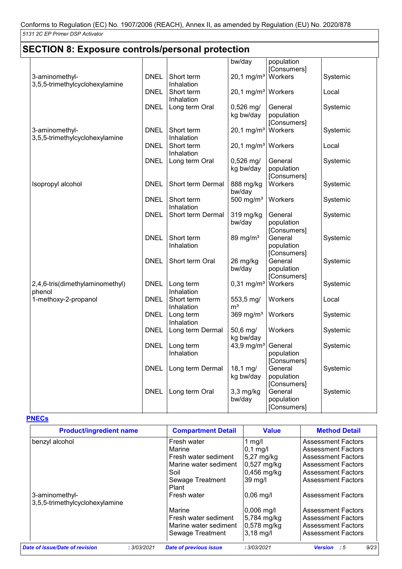| <b>SECTION 8: Exposure controls/personal protection</b> |             |                         |                                  |                        |          |  |
|---------------------------------------------------------|-------------|-------------------------|----------------------------------|------------------------|----------|--|
|                                                         |             |                         | bw/day                           | population             |          |  |
|                                                         |             |                         |                                  | [Consumers]            |          |  |
| 3-aminomethyl-                                          | <b>DNEL</b> | Short term              | $20,1 \,\mathrm{mg/m^3}$         | Workers                | Systemic |  |
| 3,5,5-trimethylcyclohexylamine                          |             | Inhalation              |                                  |                        |          |  |
|                                                         | <b>DNEL</b> | Short term              | 20,1 mg/m <sup>3</sup> Workers   |                        | Local    |  |
|                                                         |             | Inhalation              |                                  |                        |          |  |
|                                                         | <b>DNEL</b> | Long term Oral          | $0,526$ mg/                      | General                | Systemic |  |
|                                                         |             |                         | kg bw/day                        | population             |          |  |
|                                                         |             |                         |                                  | [Consumers]            |          |  |
| 3-aminomethyl-                                          | <b>DNEL</b> | Short term              | $20,1 \,\mathrm{mg/m^3}$         | Workers                | Systemic |  |
| 3,5,5-trimethylcyclohexylamine                          |             | Inhalation              |                                  |                        |          |  |
|                                                         | <b>DNEL</b> | Short term              | 20,1 mg/m <sup>3</sup>   Workers |                        | Local    |  |
|                                                         |             | Inhalation              |                                  |                        |          |  |
|                                                         | <b>DNEL</b> | Long term Oral          | $0,526$ mg/                      | General                | Systemic |  |
|                                                         |             |                         | kg bw/day                        | population             |          |  |
|                                                         | <b>DNEL</b> | Short term Dermal       |                                  | [Consumers]<br>Workers | Systemic |  |
| Isopropyl alcohol                                       |             |                         | 888 mg/kg<br>bw/day              |                        |          |  |
|                                                         | <b>DNEL</b> | Short term              | 500 mg/ $m3$                     | Workers                | Systemic |  |
|                                                         |             | Inhalation              |                                  |                        |          |  |
|                                                         | <b>DNEL</b> | Short term Dermal       | 319 mg/kg                        | General                | Systemic |  |
|                                                         |             |                         | bw/day                           | population             |          |  |
|                                                         |             |                         |                                  | [Consumers]            |          |  |
|                                                         | <b>DNEL</b> | Short term              | 89 mg/m <sup>3</sup>             | General                | Systemic |  |
|                                                         |             | Inhalation              |                                  | population             |          |  |
|                                                         |             |                         |                                  | [Consumers]            |          |  |
|                                                         | <b>DNEL</b> | Short term Oral         | 26 mg/kg                         | General                | Systemic |  |
|                                                         |             |                         | bw/day                           | population             |          |  |
|                                                         |             |                         |                                  | [Consumers]            |          |  |
| 2,4,6-tris(dimethylaminomethyl)                         | <b>DNEL</b> | Long term               | $0,31$ mg/m <sup>3</sup>         | Workers                | Systemic |  |
| phenol                                                  |             | Inhalation              |                                  |                        |          |  |
| 1-methoxy-2-propanol                                    | <b>DNEL</b> | Short term              | 553,5 mg/                        | Workers                | Local    |  |
|                                                         |             | Inhalation              | m <sup>3</sup>                   |                        |          |  |
|                                                         | <b>DNEL</b> | Long term<br>Inhalation | 369 mg/ $m3$                     | Workers                | Systemic |  |
|                                                         | <b>DNEL</b> | Long term Dermal        | 50,6 mg/                         | Workers                | Systemic |  |
|                                                         |             |                         | kg bw/day                        |                        |          |  |
|                                                         | <b>DNEL</b> | Long term               | 43,9 mg/m <sup>3</sup> General   |                        | Systemic |  |
|                                                         |             | Inhalation              |                                  | population             |          |  |
|                                                         |             |                         |                                  | [Consumers]            |          |  |
|                                                         | <b>DNEL</b> | Long term Dermal        | 18,1 mg/                         | General                | Systemic |  |
|                                                         |             |                         | kg bw/day                        | population             |          |  |
|                                                         |             |                         |                                  | [Consumers]            |          |  |
|                                                         | <b>DNEL</b> | Long term Oral          | $3,3$ mg/kg                      | General                | Systemic |  |
|                                                         |             |                         | bw/day                           | population             |          |  |
|                                                         |             |                         |                                  | [Consumers]            |          |  |

## **PNECs**

| <b>Product/ingredient name</b>                |  | <b>Compartment Detail</b>     | <b>Value</b>        | <b>Method Detail</b>            |
|-----------------------------------------------|--|-------------------------------|---------------------|---------------------------------|
| benzyl alcohol                                |  | Fresh water                   | $1$ mg/l            | <b>Assessment Factors</b>       |
|                                               |  | Marine                        | $ 0,1 \text{ mg}/I$ | <b>Assessment Factors</b>       |
|                                               |  | Fresh water sediment          | 5,27 mg/kg          | <b>Assessment Factors</b>       |
|                                               |  | Marine water sediment         | $0,527$ mg/kg       | <b>Assessment Factors</b>       |
|                                               |  | Soil                          | $0,456$ mg/kg       | <b>Assessment Factors</b>       |
|                                               |  | Sewage Treatment              | 39 ma/l             | <b>Assessment Factors</b>       |
|                                               |  | Plant                         |                     |                                 |
| 3-aminomethyl-                                |  | Fresh water                   | $0,06$ mg/l         | <b>Assessment Factors</b>       |
| 3,5,5-trimethylcyclohexylamine                |  |                               |                     |                                 |
|                                               |  | Marine                        | $0,006$ mg/l        | <b>Assessment Factors</b>       |
|                                               |  | Fresh water sediment          | 5,784 mg/kg         | <b>Assessment Factors</b>       |
|                                               |  | Marine water sediment         | $0,578$ mg/kg       | Assessment Factors              |
|                                               |  | Sewage Treatment              | $3,18$ mg/l         | <b>Assessment Factors</b>       |
| Date of issue/Date of revision<br>: 3/03/2021 |  | <b>Date of previous issue</b> | : 3/03/2021         | 9/23<br><b>Version</b><br>- : 5 |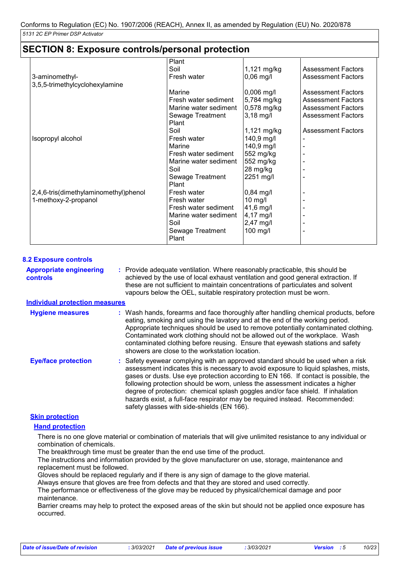| <b>SECTION 8: Exposure controls/personal protection</b>       |                                                                                                                  |                                                                                         |                                                                                                                  |
|---------------------------------------------------------------|------------------------------------------------------------------------------------------------------------------|-----------------------------------------------------------------------------------------|------------------------------------------------------------------------------------------------------------------|
| 3-aminomethyl-<br>3,5,5-trimethylcyclohexylamine              | Plant<br>Soil<br>Fresh water                                                                                     | 1,121 mg/kg<br>$0,06$ mg/l                                                              | <b>Assessment Factors</b><br><b>Assessment Factors</b>                                                           |
|                                                               | Marine<br>Fresh water sediment<br>Marine water sediment<br>Sewage Treatment                                      | $0,006$ mg/l<br>5,784 mg/kg<br>0,578 mg/kg<br>$3,18$ mg/l                               | <b>Assessment Factors</b><br><b>Assessment Factors</b><br><b>Assessment Factors</b><br><b>Assessment Factors</b> |
| Isopropyl alcohol                                             | Plant<br>Soil<br>Fresh water<br>Marine<br>Fresh water sediment                                                   | 1,121 mg/kg<br>140,9 mg/l<br>140,9 mg/l<br>552 mg/kg                                    | <b>Assessment Factors</b>                                                                                        |
|                                                               | Marine water sediment<br>Soil<br>Sewage Treatment<br>Plant                                                       | 552 mg/kg<br>28 mg/kg<br>2251 mg/l                                                      |                                                                                                                  |
| 2,4,6-tris(dimethylaminomethyl)phenol<br>1-methoxy-2-propanol | Fresh water<br>Fresh water<br>Fresh water sediment<br>Marine water sediment<br>Soil<br>Sewage Treatment<br>Plant | $0,84$ mg/l<br>$10$ mg/l<br>41,6 mg/l<br>$4,17 \text{ mg/l}$<br>$2,47$ mg/l<br>100 mg/l |                                                                                                                  |

#### **8.2 Exposure controls**

Provide adequate ventilation. Where reasonably practicable, this should be **:** achieved by the use of local exhaust ventilation and good general extraction. If these are not sufficient to maintain concentrations of particulates and solvent vapours below the OEL, suitable respiratory protection must be worn. **Appropriate engineering controls**

#### **Individual protection measures**

| <b>Hygiene measures</b>    | : Wash hands, forearms and face thoroughly after handling chemical products, before<br>eating, smoking and using the lavatory and at the end of the working period.<br>Appropriate techniques should be used to remove potentially contaminated clothing.<br>Contaminated work clothing should not be allowed out of the workplace. Wash<br>contaminated clothing before reusing. Ensure that eyewash stations and safety<br>showers are close to the workstation location.                                                                                    |
|----------------------------|----------------------------------------------------------------------------------------------------------------------------------------------------------------------------------------------------------------------------------------------------------------------------------------------------------------------------------------------------------------------------------------------------------------------------------------------------------------------------------------------------------------------------------------------------------------|
| <b>Eye/face protection</b> | : Safety eyewear complying with an approved standard should be used when a risk<br>assessment indicates this is necessary to avoid exposure to liquid splashes, mists,<br>gases or dusts. Use eye protection according to EN 166. If contact is possible, the<br>following protection should be worn, unless the assessment indicates a higher<br>degree of protection: chemical splash goggles and/or face shield. If inhalation<br>hazards exist, a full-face respirator may be required instead. Recommended:<br>safety glasses with side-shields (EN 166). |

#### **Skin protection**

#### **Hand protection**

There is no one glove material or combination of materials that will give unlimited resistance to any individual or combination of chemicals.

The breakthrough time must be greater than the end use time of the product.

The instructions and information provided by the glove manufacturer on use, storage, maintenance and replacement must be followed.

Gloves should be replaced regularly and if there is any sign of damage to the glove material.

Always ensure that gloves are free from defects and that they are stored and used correctly.

The performance or effectiveness of the glove may be reduced by physical/chemical damage and poor maintenance.

Barrier creams may help to protect the exposed areas of the skin but should not be applied once exposure has occurred.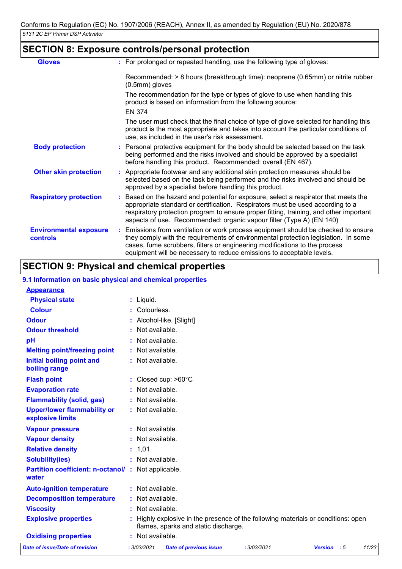# **SECTION 8: Exposure controls/personal protection**

| <b>Gloves</b>                                    | : For prolonged or repeated handling, use the following type of gloves:                                                                                                                                                                                                                                                                  |
|--------------------------------------------------|------------------------------------------------------------------------------------------------------------------------------------------------------------------------------------------------------------------------------------------------------------------------------------------------------------------------------------------|
|                                                  | Recommended: > 8 hours (breakthrough time): neoprene (0.65mm) or nitrile rubber<br>(0.5mm) gloves                                                                                                                                                                                                                                        |
|                                                  | The recommendation for the type or types of glove to use when handling this<br>product is based on information from the following source:<br><b>EN 374</b>                                                                                                                                                                               |
|                                                  | The user must check that the final choice of type of glove selected for handling this<br>product is the most appropriate and takes into account the particular conditions of<br>use, as included in the user's risk assessment.                                                                                                          |
| <b>Body protection</b>                           | : Personal protective equipment for the body should be selected based on the task<br>being performed and the risks involved and should be approved by a specialist<br>before handling this product. Recommended: overall (EN 467).                                                                                                       |
| <b>Other skin protection</b>                     | : Appropriate footwear and any additional skin protection measures should be<br>selected based on the task being performed and the risks involved and should be<br>approved by a specialist before handling this product.                                                                                                                |
| <b>Respiratory protection</b>                    | : Based on the hazard and potential for exposure, select a respirator that meets the<br>appropriate standard or certification. Respirators must be used according to a<br>respiratory protection program to ensure proper fitting, training, and other important<br>aspects of use. Recommended: organic vapour filter (Type A) (EN 140) |
| <b>Environmental exposure</b><br><b>controls</b> | : Emissions from ventilation or work process equipment should be checked to ensure<br>they comply with the requirements of environmental protection legislation. In some<br>cases, fume scrubbers, filters or engineering modifications to the process<br>equipment will be necessary to reduce emissions to acceptable levels.          |

# **SECTION 9: Physical and chemical properties**

#### **9.1 Information on basic physical and chemical properties**

| <b>Appearance</b>                                      |                                                                                                                         |
|--------------------------------------------------------|-------------------------------------------------------------------------------------------------------------------------|
| <b>Physical state</b>                                  | Liquid.                                                                                                                 |
| <b>Colour</b>                                          | Colourless.                                                                                                             |
| <b>Odour</b>                                           | Alcohol-like. [Slight]                                                                                                  |
| <b>Odour threshold</b>                                 | Not available.                                                                                                          |
| pH                                                     | Not available.                                                                                                          |
| <b>Melting point/freezing point</b>                    | Not available.                                                                                                          |
| Initial boiling point and<br>boiling range             | : Not available.                                                                                                        |
| <b>Flash point</b>                                     | Closed cup: >60°C                                                                                                       |
| <b>Evaporation rate</b>                                | Not available.                                                                                                          |
| <b>Flammability (solid, gas)</b>                       | Not available.                                                                                                          |
| <b>Upper/lower flammability or</b><br>explosive limits | : Not available.                                                                                                        |
| <b>Vapour pressure</b>                                 | Not available.                                                                                                          |
| <b>Vapour density</b>                                  | Not available.                                                                                                          |
| <b>Relative density</b>                                | : 1,01                                                                                                                  |
| <b>Solubility(ies)</b>                                 | : Not available.                                                                                                        |
| <b>Partition coefficient: n-octanol/:</b><br>water     | Not applicable.                                                                                                         |
| <b>Auto-ignition temperature</b>                       | : Not available.                                                                                                        |
| <b>Decomposition temperature</b>                       | Not available.                                                                                                          |
| <b>Viscosity</b>                                       | Not available.                                                                                                          |
| <b>Explosive properties</b>                            | Highly explosive in the presence of the following materials or conditions: open<br>flames, sparks and static discharge. |
| <b>Oxidising properties</b>                            | Not available.                                                                                                          |
| Date of issue/Date of revision                         | : 3/03/2021<br><b>Date of previous issue</b><br>: 3/03/2021<br>Version : 5<br>11/23                                     |
|                                                        |                                                                                                                         |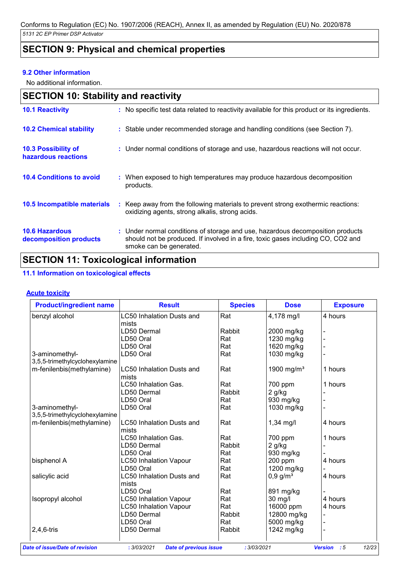# **SECTION 9: Physical and chemical properties**

#### **9.2 Other information**

No additional information.

|                                                   | <b>SECTION 10: Stability and reactivity</b>                                                                                                                                                   |  |  |  |  |  |
|---------------------------------------------------|-----------------------------------------------------------------------------------------------------------------------------------------------------------------------------------------------|--|--|--|--|--|
| <b>10.1 Reactivity</b>                            | : No specific test data related to reactivity available for this product or its ingredients.                                                                                                  |  |  |  |  |  |
| <b>10.2 Chemical stability</b>                    | : Stable under recommended storage and handling conditions (see Section 7).                                                                                                                   |  |  |  |  |  |
| <b>10.3 Possibility of</b><br>hazardous reactions | : Under normal conditions of storage and use, hazardous reactions will not occur.                                                                                                             |  |  |  |  |  |
| <b>10.4 Conditions to avoid</b>                   | : When exposed to high temperatures may produce hazardous decomposition<br>products.                                                                                                          |  |  |  |  |  |
| 10.5 Incompatible materials                       | : Keep away from the following materials to prevent strong exothermic reactions:<br>oxidizing agents, strong alkalis, strong acids.                                                           |  |  |  |  |  |
| <b>10.6 Hazardous</b><br>decomposition products   | : Under normal conditions of storage and use, hazardous decomposition products<br>should not be produced. If involved in a fire, toxic gases including CO, CO2 and<br>smoke can be generated. |  |  |  |  |  |

# **SECTION 11: Toxicological information**

## **11.1 Information on toxicological effects**

#### **Acute toxicity**

| <b>Product/ingredient name</b> | <b>Result</b>                    | <b>Species</b> | <b>Dose</b>            | <b>Exposure</b> |
|--------------------------------|----------------------------------|----------------|------------------------|-----------------|
| benzyl alcohol                 | <b>LC50 Inhalation Dusts and</b> | Rat            | 4,178 mg/l             | 4 hours         |
|                                | mists                            |                |                        |                 |
|                                | LD50 Dermal                      | Rabbit         | 2000 mg/kg             |                 |
|                                | LD50 Oral                        | Rat            | 1230 mg/kg             |                 |
|                                | LD50 Oral                        | Rat            | 1620 mg/kg             |                 |
| 3-aminomethyl-                 | LD50 Oral                        | Rat            | 1030 mg/kg             |                 |
| 3,5,5-trimethylcyclohexylamine |                                  |                |                        |                 |
| m-fenilenbis(methylamine)      | LC50 Inhalation Dusts and        | Rat            | 1900 mg/m <sup>3</sup> | 1 hours         |
|                                | mists                            |                |                        |                 |
|                                | LC50 Inhalation Gas.             | Rat            | 700 ppm                | 1 hours         |
|                                | LD50 Dermal                      | Rabbit         | $2$ g/kg               |                 |
|                                | LD50 Oral                        | Rat            | 930 mg/kg              |                 |
| 3-aminomethyl-                 | LD50 Oral                        | Rat            | 1030 mg/kg             |                 |
| 3,5,5-trimethylcyclohexylamine |                                  |                |                        |                 |
| m-fenilenbis(methylamine)      | LC50 Inhalation Dusts and        | Rat            | $1,34$ mg/l            | 4 hours         |
|                                | mists                            |                |                        |                 |
|                                | <b>LC50 Inhalation Gas.</b>      | Rat            | 700 ppm                | 1 hours         |
|                                | LD50 Dermal                      | Rabbit         | 2 g/kg                 |                 |
|                                | LD50 Oral                        | Rat            | 930 mg/kg              |                 |
| bisphenol A                    | <b>LC50 Inhalation Vapour</b>    | Rat            | 200 ppm                | 4 hours         |
|                                | LD50 Oral                        | Rat            | 1200 mg/kg             |                 |
| salicylic acid                 | <b>LC50 Inhalation Dusts and</b> | Rat            | $0,9$ g/m <sup>3</sup> | 4 hours         |
|                                | mists                            |                |                        |                 |
|                                | LD50 Oral                        | Rat            | 891 mg/kg              |                 |
| Isopropyl alcohol              | <b>LC50 Inhalation Vapour</b>    | Rat            | 30 mg/l                | 4 hours         |
|                                | <b>LC50 Inhalation Vapour</b>    | Rat            | 16000 ppm              | 4 hours         |
|                                | LD50 Dermal                      | Rabbit         | 12800 mg/kg            |                 |
|                                | LD50 Oral                        | Rat            | 5000 mg/kg             |                 |
| $2,4,6$ -tris                  | LD50 Dermal                      | Rabbit         | 1242 mg/kg             |                 |
|                                |                                  |                |                        |                 |

*Date of issue/Date of revision* **:** *3/03/2021 Date of previous issue : 3/03/2021 Version : 5 12/23*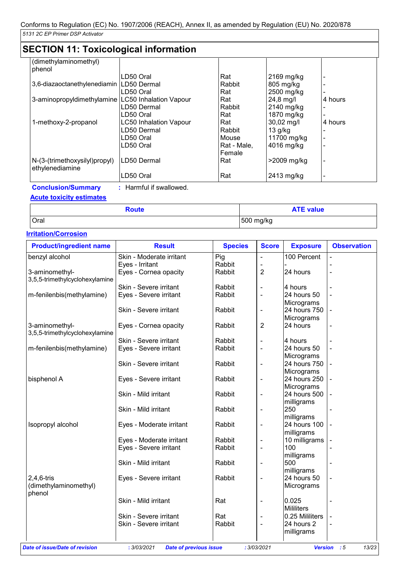| <b>SECTION 11: Toxicological information</b> |                               |             |               |         |  |
|----------------------------------------------|-------------------------------|-------------|---------------|---------|--|
| (dimethylaminomethyl)                        |                               |             |               |         |  |
| phenol                                       |                               |             |               |         |  |
|                                              | LD50 Oral                     | Rat         | 2169 mg/kg    |         |  |
| 3,6-diazaoctanethylenediamin                 | LD50 Dermal                   | Rabbit      | 805 mg/kg     |         |  |
|                                              | LD50 Oral                     | Rat         | 2500 mg/kg    |         |  |
| 3-aminopropyldimethylamine                   | <b>LC50 Inhalation Vapour</b> | Rat         | 24,8 mg/l     | 4 hours |  |
|                                              | LD50 Dermal                   | Rabbit      | 2140 mg/kg    |         |  |
|                                              | LD50 Oral                     | Rat         | 1870 mg/kg    |         |  |
| 1-methoxy-2-propanol                         | <b>LC50 Inhalation Vapour</b> | Rat         | 30,02 mg/l    | 4 hours |  |
|                                              | LD50 Dermal                   | Rabbit      | $13$ g/kg     |         |  |
|                                              | LD50 Oral                     | Mouse       | 11700 mg/kg   |         |  |
|                                              | LD50 Oral                     | Rat - Male, | 4016 mg/kg    |         |  |
|                                              |                               | Female      |               |         |  |
| N-(3-(trimethoxysilyl)propyl)                | LD50 Dermal                   | Rat         | $>2009$ mg/kg |         |  |
| ethylenediamine                              |                               |             |               |         |  |
|                                              | LD50 Oral                     | Rat         | 2413 mg/kg    |         |  |

**Conclusion/Summary :** Harmful if swallowed.

## **Acute toxicity estimates**

| <b>Route</b> | <b>ATE value</b> |
|--------------|------------------|
| Oral         | 500 mg/kg        |

## **Irritation/Corrosion**

| <b>Product/ingredient name</b>                   | <b>Result</b>            | <b>Species</b> | <b>Score</b>             | <b>Exposure</b>            | <b>Observation</b> |
|--------------------------------------------------|--------------------------|----------------|--------------------------|----------------------------|--------------------|
| benzyl alcohol                                   | Skin - Moderate irritant | Pig            |                          | 100 Percent                |                    |
|                                                  | Eyes - Irritant          | Rabbit         |                          |                            |                    |
| 3-aminomethyl-<br>3,5,5-trimethylcyclohexylamine | Eyes - Cornea opacity    | Rabbit         | 2                        | 24 hours                   |                    |
|                                                  | Skin - Severe irritant   | Rabbit         | $\overline{\phantom{0}}$ | 4 hours                    |                    |
| m-fenilenbis(methylamine)                        | Eyes - Severe irritant   | Rabbit         | $\overline{\phantom{a}}$ | 24 hours 50<br>Micrograms  |                    |
|                                                  | Skin - Severe irritant   | Rabbit         | $\overline{\phantom{0}}$ | 24 hours 750<br>Micrograms |                    |
| 3-aminomethyl-<br>3,5,5-trimethylcyclohexylamine | Eyes - Cornea opacity    | Rabbit         | 2                        | 24 hours                   |                    |
|                                                  | Skin - Severe irritant   | Rabbit         | $\overline{\phantom{0}}$ | 4 hours                    |                    |
| m-fenilenbis(methylamine)                        | Eyes - Severe irritant   | Rabbit         | $\blacksquare$           | 24 hours 50<br>Micrograms  |                    |
|                                                  | Skin - Severe irritant   | Rabbit         | $\overline{\phantom{0}}$ | 24 hours 750<br>Micrograms |                    |
| bisphenol A                                      | Eyes - Severe irritant   | Rabbit         | $\overline{\phantom{0}}$ | 24 hours 250<br>Micrograms |                    |
|                                                  | Skin - Mild irritant     | Rabbit         | $\overline{\phantom{a}}$ | 24 hours 500<br>milligrams |                    |
|                                                  | Skin - Mild irritant     | Rabbit         | $\overline{\phantom{0}}$ | 250<br>milligrams          |                    |
| Isopropyl alcohol                                | Eyes - Moderate irritant | Rabbit         | $\overline{\phantom{0}}$ | 24 hours 100<br>milligrams |                    |
|                                                  | Eyes - Moderate irritant | Rabbit         | $\overline{\phantom{0}}$ | 10 milligrams              |                    |
|                                                  | Eyes - Severe irritant   | Rabbit         | $\overline{\phantom{0}}$ | 100<br>milligrams          |                    |
|                                                  | Skin - Mild irritant     | Rabbit         | $\overline{\phantom{0}}$ | 500<br>milligrams          |                    |
| $2,4,6$ -tris<br>(dimethylaminomethyl)<br>phenol | Eyes - Severe irritant   | Rabbit         | $\overline{a}$           | 24 hours 50<br>Micrograms  |                    |
|                                                  | Skin - Mild irritant     | Rat            | -                        | 0.025<br><b>Mililiters</b> |                    |
|                                                  | Skin - Severe irritant   | Rat            | $\overline{\phantom{0}}$ | 0.25 Mililiters            |                    |
|                                                  | Skin - Severe irritant   | Rabbit         | $\overline{a}$           | 24 hours 2<br>milligrams   |                    |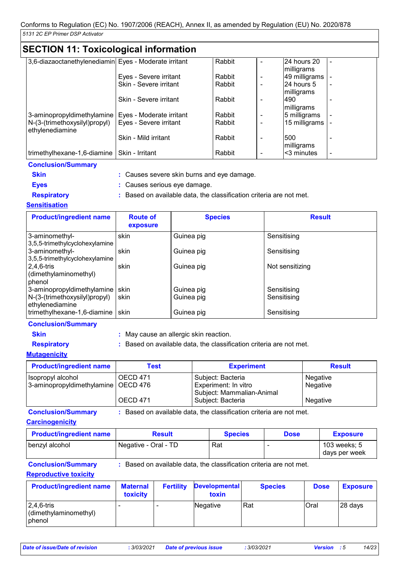# **SECTION 11: Toxicological information**

| 3,6-diazaoctanethylenediamin Eyes - Moderate irritant |                          | Rabbit | 24 hours 20   |  |
|-------------------------------------------------------|--------------------------|--------|---------------|--|
|                                                       |                          |        | milligrams    |  |
|                                                       | Eyes - Severe irritant   | Rabbit | 49 milligrams |  |
|                                                       | Skin - Severe irritant   | Rabbit | 24 hours 5    |  |
|                                                       |                          |        | milligrams    |  |
|                                                       | Skin - Severe irritant   | Rabbit | <b>490</b>    |  |
|                                                       |                          |        | milligrams    |  |
| 3-aminopropyldimethylamine                            | Eyes - Moderate irritant | Rabbit | 5 milligrams  |  |
| N-(3-(trimethoxysilyl)propyl)                         | Eyes - Severe irritant   | Rabbit | 15 milligrams |  |
| ethylenediamine                                       |                          |        |               |  |
|                                                       | Skin - Mild irritant     | Rabbit | 500           |  |
|                                                       |                          |        | milligrams    |  |
| trimethylhexane-1,6-diamine                           | Skin - Irritant          | Rabbit | <3 minutes    |  |

| <b>Conclusion/Summary</b> |                                                                     |
|---------------------------|---------------------------------------------------------------------|
| <b>Skin</b>               | : Causes severe skin burns and eye damage.                          |
| <b>Eves</b>               | : Causes serious eye damage.                                        |
| <b>Respiratory</b>        | : Based on available data, the classification criteria are not met. |

#### **Sensitisation**

| <b>Product/ingredient name</b>                                                 | <b>Route of</b><br>exposure | <b>Species</b>           | <b>Result</b>              |
|--------------------------------------------------------------------------------|-----------------------------|--------------------------|----------------------------|
| 3-aminomethyl-<br>3,5,5-trimethylcyclohexylamine                               | skin                        | Guinea pig               | Sensitising                |
| 3-aminomethyl-<br>3,5,5-trimethylcyclohexylamine                               | skin                        | Guinea pig               | Sensitising                |
| $ 2,4,6$ -tris<br>(dimethylaminomethyl)<br>phenol                              | skin                        | Guinea pig               | Not sensitizing            |
| 3-aminopropyldimethylamine<br>N-(3-(trimethoxysilyl)propyl)<br>ethylenediamine | skin<br>skin                | Guinea pig<br>Guinea pig | Sensitising<br>Sensitising |
| trimethylhexane-1,6-diamine                                                    | skin                        | Guinea pig               | Sensitising                |

#### **Conclusion/Summary**

- 
- **Skin :** May cause an allergic skin reaction.
- 
- 
- 
- 
- **Respiratory :** Based on available data, the classification criteria are not met.

## **Mutagenicity**

| <b>Product/ingredient name</b>        | <b>Test</b>     | <b>Experiment</b>                                 | <b>Result</b> |
|---------------------------------------|-----------------|---------------------------------------------------|---------------|
| Isopropyl alcohol                     | OECD 471        | Subject: Bacteria                                 | Negative      |
| 3-aminopropyldimethylamine   OECD 476 |                 | Experiment: In vitro<br>Subject: Mammalian-Animal | Negative      |
|                                       | <b>OECD 471</b> | Subject: Bacteria                                 | Negative      |

**Conclusion/Summary :** Based on available data, the classification criteria are not met.

#### **Carcinogenicity**

| <b>Product/ingredient name</b> | <b>Result</b>        | <b>Species</b> | <b>Dose</b> | <b>Exposure</b>               |
|--------------------------------|----------------------|----------------|-------------|-------------------------------|
| benzyl alcohol                 | Negative - Oral - TD | Rat            |             | 103 weeks; 5<br>days per week |

**Conclusion/Summary :** Based on available data, the classification criteria are not met.

#### **Reproductive toxicity**

| <b>Product/ingredient name</b>                                     | <b>Maternal</b><br><b>toxicity</b> | <b>Fertility</b> | <b>Developmental</b><br>toxin | <b>Species</b> | <b>Dose</b> | <b>Exposure</b> |
|--------------------------------------------------------------------|------------------------------------|------------------|-------------------------------|----------------|-------------|-----------------|
| $ 2,4,6$ -tris<br>$\vert$ (dimethylaminomethyl)<br><b>I</b> phenol |                                    |                  | Negative                      | Rat            | Oral        | 28 days         |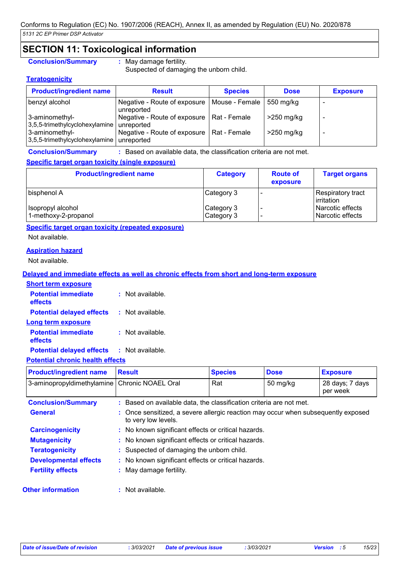# **SECTION 11: Toxicological information**

#### **Conclusion/Summary :** May damage fertility.

Suspected of damaging the unborn child.

#### **Teratogenicity**

| <b>Product/ingredient name</b>                   | <b>Result</b>                                                 | <b>Species</b> | <b>Dose</b>  | <b>Exposure</b> |
|--------------------------------------------------|---------------------------------------------------------------|----------------|--------------|-----------------|
| benzyl alcohol                                   | Negative - Route of exposure   Mouse - Female  <br>unreported |                | 550 mg/kg    |                 |
| 3-aminomethyl-<br>3,5,5-trimethylcyclohexylamine | Negative - Route of exposure   Rat - Female<br>unreported     |                | $>250$ mg/kg |                 |
| 3-aminomethyl-<br>3,5,5-trimethylcyclohexylamine | Negative - Route of exposure   Rat - Female<br>unreported     |                | $>250$ mg/kg |                 |

**Conclusion/Summary :** Based on available data, the classification criteria are not met.

### **Specific target organ toxicity (single exposure)**

| <b>Product/ingredient name</b>            | <b>Category</b>          | <b>Route of</b><br>exposure | <b>Target organs</b>                   |
|-------------------------------------------|--------------------------|-----------------------------|----------------------------------------|
| bisphenol A                               | Category 3               |                             | Respiratory tract<br>irritation        |
| Isopropyl alcohol<br>1-methoxy-2-propanol | Category 3<br>Category 3 |                             | Narcotic effects<br>l Narcotic effects |

## **Specific target organ toxicity (repeated exposure)**

Not available.

#### **Aspiration hazard**

Not available.

### **Delayed and immediate effects as well as chronic effects from short and long-term exposure**

| <b>Short term exposure</b>            |                    |
|---------------------------------------|--------------------|
| <b>Potential immediate</b><br>effects | : Not available.   |
| <b>Potential delayed effects</b>      | : Not available.   |
| Long term exposure                    |                    |
| <b>Potential immediate</b><br>effects | $:$ Not available. |
| <b>Potential delayed effects</b>      | : Not available.   |

#### **Potential chronic health effects**

| <b>Product/ingredient name</b> | <b>Result</b>                                                                                            | <b>Species</b> | <b>Dose</b>   | <b>Exposure</b>             |
|--------------------------------|----------------------------------------------------------------------------------------------------------|----------------|---------------|-----------------------------|
| 3-aminopropyldimethylamine     | Chronic NOAEL Oral                                                                                       | Rat            | $50 \; mg/kg$ | 28 days; 7 days<br>per week |
| <b>Conclusion/Summary</b>      | : Based on available data, the classification criteria are not met.                                      |                |               |                             |
| <b>General</b>                 | : Once sensitized, a severe allergic reaction may occur when subsequently exposed<br>to very low levels. |                |               |                             |
| <b>Carcinogenicity</b>         | : No known significant effects or critical hazards.                                                      |                |               |                             |
| <b>Mutagenicity</b>            | : No known significant effects or critical hazards.                                                      |                |               |                             |
| <b>Teratogenicity</b>          | : Suspected of damaging the unborn child.                                                                |                |               |                             |
| <b>Developmental effects</b>   | : No known significant effects or critical hazards.                                                      |                |               |                             |
| <b>Fertility effects</b>       | : May damage fertility.                                                                                  |                |               |                             |
| <b>Other information</b>       | : Not available.                                                                                         |                |               |                             |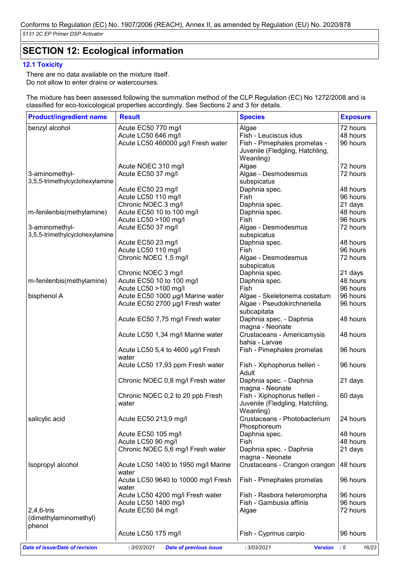# **SECTION 12: Ecological information**

#### **12.1 Toxicity**

There are no data available on the mixture itself. Do not allow to enter drains or watercourses.

The mixture has been assessed following the summation method of the CLP Regulation (EC) No 1272/2008 and is classified for eco-toxicological properties accordingly. See Sections 2 and 3 for details.

| <b>Product/ingredient name</b> | <b>Result</b>                       | <b>Species</b>                  | <b>Exposure</b> |
|--------------------------------|-------------------------------------|---------------------------------|-----------------|
| benzyl alcohol                 | Acute EC50 770 mg/l                 | Algae                           | 72 hours        |
|                                | Acute LC50 646 mg/l                 | Fish - Leuciscus idus           | 48 hours        |
|                                | Acute LC50 460000 µg/l Fresh water  | Fish - Pimephales promelas -    | 96 hours        |
|                                |                                     | Juvenile (Fledgling, Hatchling, |                 |
|                                |                                     | Weanling)                       |                 |
|                                | Acute NOEC 310 mg/l                 | Algae                           | 72 hours        |
| 3-aminomethyl-                 | Acute EC50 37 mg/l                  | Algae - Desmodesmus             | 72 hours        |
| 3,5,5-trimethylcyclohexylamine |                                     | subspicatus                     |                 |
|                                | Acute EC50 23 mg/l                  | Daphnia spec.                   | 48 hours        |
|                                | Acute LC50 110 mg/l                 | Fish                            | 96 hours        |
|                                | Chronic NOEC 3 mg/l                 | Daphnia spec.                   | 21 days         |
| m-fenilenbis(methylamine)      | Acute EC50 10 to 100 mg/l           | Daphnia spec.                   | 48 hours        |
|                                | Acute LC50 >100 mg/l                | Fish                            | 96 hours        |
| 3-aminomethyl-                 | Acute EC50 37 mg/l                  | Algae - Desmodesmus             | 72 hours        |
| 3,5,5-trimethylcyclohexylamine |                                     | subspicatus                     |                 |
|                                | Acute EC50 23 mg/l                  | Daphnia spec.                   | 48 hours        |
|                                | Acute LC50 110 mg/l                 | Fish                            | 96 hours        |
|                                | Chronic NOEC 1,5 mg/l               | Algae - Desmodesmus             | 72 hours        |
|                                |                                     | subspicatus                     |                 |
|                                | Chronic NOEC 3 mg/l                 | Daphnia spec.                   | 21 days         |
| m-fenilenbis(methylamine)      | Acute EC50 10 to 100 mg/l           | Daphnia spec.                   | 48 hours        |
|                                | Acute LC50 >100 mg/l                | Fish                            | 96 hours        |
| bisphenol A                    | Acute EC50 1000 µg/l Marine water   | Algae - Skeletonema costatum    | 96 hours        |
|                                |                                     | Algae - Pseudokirchneriella     | 96 hours        |
|                                | Acute EC50 2700 µg/l Fresh water    |                                 |                 |
|                                |                                     | subcapitata                     |                 |
|                                | Acute EC50 7,75 mg/l Fresh water    | Daphnia spec. - Daphnia         | 48 hours        |
|                                |                                     | magna - Neonate                 |                 |
|                                | Acute LC50 1,34 mg/l Marine water   | Crustaceans - Americamysis      | 48 hours        |
|                                |                                     | bahia - Larvae                  |                 |
|                                | Acute LC50 5,4 to 4600 µg/l Fresh   | Fish - Pimephales promelas      | 96 hours        |
|                                | water                               |                                 |                 |
|                                | Acute LC50 17,93 ppm Fresh water    | Fish - Xiphophorus helleri -    | 96 hours        |
|                                |                                     | Adult                           |                 |
|                                | Chronic NOEC 0,8 mg/l Fresh water   | Daphnia spec. - Daphnia         | 21 days         |
|                                |                                     | magna - Neonate                 |                 |
|                                | Chronic NOEC 0,2 to 20 ppb Fresh    | Fish - Xiphophorus helleri -    | 60 days         |
|                                | water                               | Juvenile (Fledgling, Hatchling, |                 |
|                                |                                     | Weanling)                       |                 |
| salicylic acid                 | Acute EC50 213,9 mg/l               | Crustaceans - Photobacterium    | 24 hours        |
|                                |                                     | Phosphoreum                     |                 |
|                                | Acute EC50 105 mg/l                 | Daphnia spec.                   | 48 hours        |
|                                | Acute LC50 90 mg/l                  | Fish                            | 48 hours        |
|                                | Chronic NOEC 5,6 mg/l Fresh water   | Daphnia spec. - Daphnia         | 21 days         |
|                                |                                     | magna - Neonate                 |                 |
| Isopropyl alcohol              | Acute LC50 1400 to 1950 mg/l Marine | Crustaceans - Crangon crangon   | 48 hours        |
|                                | water                               |                                 |                 |
|                                | Acute LC50 9640 to 10000 mg/l Fresh | Fish - Pimephales promelas      | 96 hours        |
|                                | water                               |                                 |                 |
|                                | Acute LC50 4200 mg/l Fresh water    | Fish - Rasbora heteromorpha     | 96 hours        |
|                                | Acute LC50 1400 mg/l                | Fish - Gambusia affinis         | 96 hours        |
| $2,4,6$ -tris                  | Acute EC50 84 mg/l                  | Algae                           | 72 hours        |
| (dimethylaminomethyl)          |                                     |                                 |                 |
| phenol                         |                                     |                                 |                 |
|                                |                                     |                                 | 96 hours        |
|                                | Acute LC50 175 mg/l                 | Fish - Cyprinus carpio          |                 |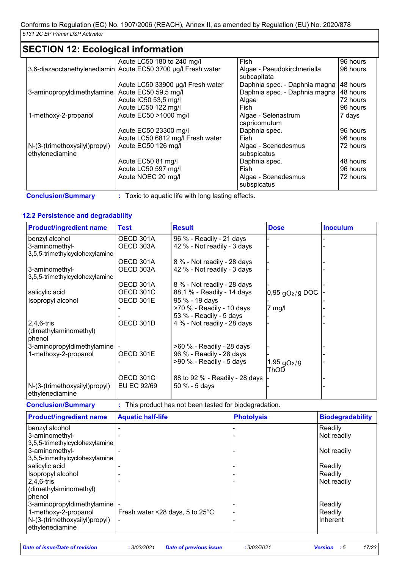# **SECTION 12: Ecological information**

|                               | Acute LC50 180 to 240 mg/l                                    | Fish                          | 96 hours |
|-------------------------------|---------------------------------------------------------------|-------------------------------|----------|
|                               | 3,6-diazaoctanethylenediamin Acute EC50 3700 µg/l Fresh water | Algae - Pseudokirchneriella   | 96 hours |
|                               |                                                               | subcapitata                   |          |
|                               | Acute LC50 33900 µg/l Fresh water                             | Daphnia spec. - Daphnia magna | 48 hours |
| 3-aminopropyldimethylamine    | Acute EC50 59,5 mg/l                                          | Daphnia spec. - Daphnia magna | 48 hours |
|                               | Acute IC50 53,5 mg/l                                          | Algae                         | 72 hours |
|                               | Acute LC50 122 mg/l                                           | Fish                          | 96 hours |
| 1-methoxy-2-propanol          | Acute EC50 >1000 mg/l                                         | Algae - Selenastrum           | 7 days   |
|                               |                                                               | capricomutum                  |          |
|                               | Acute EC50 23300 mg/l                                         | Daphnia spec.                 | 96 hours |
|                               | Acute LC50 6812 mg/l Fresh water                              | Fish                          | 96 hours |
| N-(3-(trimethoxysilyl)propyl) | Acute EC50 126 mg/l                                           | Algae - Scenedesmus           | 72 hours |
| ethylenediamine               |                                                               | subspicatus                   |          |
|                               | Acute EC50 81 mg/l                                            | Daphnia spec.                 | 48 hours |
|                               | Acute LC50 597 mg/l                                           | Fish                          | 96 hours |
|                               | Acute NOEC 20 mg/l                                            | Algae - Scenedesmus           | 72 hours |
|                               |                                                               | subspicatus                   |          |

**Conclusion/Summary :** Toxic to aquatic life with long lasting effects.

### **12.2 Persistence and degradability**

| <b>Product/ingredient name</b>                   | <b>Test</b>      | <b>Result</b>                  | <b>Dose</b>               | <b>Inoculum</b> |
|--------------------------------------------------|------------------|--------------------------------|---------------------------|-----------------|
| benzyl alcohol                                   | OECD 301A        | 96 % - Readily - 21 days       |                           |                 |
| 3-aminomethyl-                                   | OECD 303A        | 42 % - Not readily - 3 days    |                           |                 |
| 3,5,5-trimethylcyclohexylamine                   |                  |                                |                           |                 |
|                                                  | OECD 301A        | 8 % - Not readily - 28 days    |                           |                 |
| 3-aminomethyl-                                   | OECD 303A        | 42 % - Not readily - 3 days    |                           |                 |
| 3,5,5-trimethylcyclohexylamine                   |                  |                                |                           |                 |
|                                                  | OECD 301A        | 8 % - Not readily - 28 days    |                           |                 |
| salicylic acid                                   | <b>OECD 301C</b> | 88,1 % - Readily - 14 days     | $0.95$ $qO2/g$ DOC        |                 |
| Isopropyl alcohol                                | OECD 301E        | 95 % - 19 days                 |                           |                 |
|                                                  |                  | >70 % - Readily - 10 days      | $7$ mg/l                  |                 |
|                                                  |                  | 53 % - Readily - 5 days        |                           |                 |
| $2,4,6$ -tris                                    | OECD 301D        | 4 % - Not readily - 28 days    |                           |                 |
| (dimethylaminomethyl)                            |                  |                                |                           |                 |
| phenol                                           |                  |                                |                           |                 |
| 3-aminopropyldimethylamine                       |                  | >60 % - Readily - 28 days      |                           |                 |
| 1-methoxy-2-propanol                             | OECD 301E        | 96 % - Readily - 28 days       |                           |                 |
|                                                  |                  | $>90$ % - Readily - 5 days     | $1,95$ gO <sub>2</sub> /g |                 |
|                                                  |                  |                                | ThOD                      |                 |
|                                                  | OECD 301C        | 88 to 92 % - Readily - 28 days |                           |                 |
| N-(3-(trimethoxysilyl)propyl)<br>ethylenediamine | EU EC 92/69      | 50 % - 5 days                  |                           |                 |

| <b>Conclusion/Summary</b> |  | This product has not been tested for biodegradation. |
|---------------------------|--|------------------------------------------------------|
|                           |  |                                                      |

| <b>Product/ingredient name</b> | <b>Aquatic half-life</b>                  | <b>Photolysis</b> | <b>Biodegradability</b> |
|--------------------------------|-------------------------------------------|-------------------|-------------------------|
| benzyl alcohol                 |                                           |                   | Readily                 |
| 3-aminomethyl-                 |                                           |                   | Not readily             |
| 3,5,5-trimethylcyclohexylamine |                                           |                   |                         |
| 3-aminomethyl-                 |                                           |                   | Not readily             |
| 3,5,5-trimethylcyclohexylamine |                                           |                   |                         |
| salicylic acid                 |                                           |                   | Readily                 |
| Isopropyl alcohol              |                                           |                   | Readily                 |
| $2,4,6$ -tris                  |                                           |                   | Not readily             |
| (dimethylaminomethyl)          |                                           |                   |                         |
| phenol                         |                                           |                   |                         |
| 3-aminopropyldimethylamine     |                                           |                   | Readily                 |
| 1-methoxy-2-propanol           | Fresh water <28 days, 5 to $25^{\circ}$ C |                   | Readily                 |
| N-(3-(trimethoxysilyl)propyl)  |                                           |                   | Inherent                |
| ethylenediamine                |                                           |                   |                         |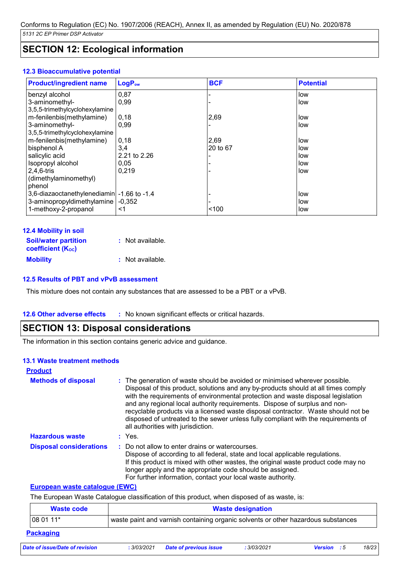# **SECTION 12: Ecological information**

#### **12.3 Bioaccumulative potential**

| <b>Product/ingredient name</b>              | LogP <sub>ow</sub> | <b>BCF</b> | <b>Potential</b> |
|---------------------------------------------|--------------------|------------|------------------|
| benzyl alcohol                              | 0,87               |            | low              |
| 3-aminomethyl-                              | 0,99               |            | low              |
| 3,5,5-trimethylcyclohexylamine              |                    |            |                  |
| m-fenilenbis(methylamine)                   | 0,18               | 2,69       | low              |
| 3-aminomethyl-                              | 0,99               |            | low              |
| 3,5,5-trimethylcyclohexylamine              |                    |            |                  |
| m-fenilenbis(methylamine)                   | 0,18               | 2,69       | low              |
| bisphenol A                                 | 3,4                | 20 to 67   | low              |
| salicylic acid                              | 2.21 to 2.26       |            | low              |
| Isopropyl alcohol                           | 0.05               |            | low              |
| $2,4,6$ -tris                               | 0.219              |            | low              |
| (dimethylaminomethyl)                       |                    |            |                  |
| phenol                                      |                    |            |                  |
| 3,6-diazaoctanethylenediamin - 1.66 to -1.4 |                    |            | low              |
| 3-aminopropyldimethylamine                  | $-0.352$           |            | low              |
| 1-methoxy-2-propanol                        | <1                 | < 100      | low              |

| <b>12.4 Mobility in soil</b> |                  |
|------------------------------|------------------|
| <b>Soil/water partition</b>  | : Not available. |
| <b>coefficient (Koc)</b>     |                  |
| <b>Mobility</b>              | : Not available. |

#### **12.5 Results of PBT and vPvB assessment**

This mixture does not contain any substances that are assessed to be a PBT or a vPvB.

#### **12.6 Other adverse effects** : No known significant effects or critical hazards.

## **SECTION 13: Disposal considerations**

The information in this section contains generic advice and guidance.

#### **13.1 Waste treatment methods**

| <b>Product</b>                 |                                                                                                                                                                                                                                                                                                                                                                                                                                                                                                                                                      |
|--------------------------------|------------------------------------------------------------------------------------------------------------------------------------------------------------------------------------------------------------------------------------------------------------------------------------------------------------------------------------------------------------------------------------------------------------------------------------------------------------------------------------------------------------------------------------------------------|
| <b>Methods of disposal</b>     | : The generation of waste should be avoided or minimised wherever possible.<br>Disposal of this product, solutions and any by-products should at all times comply<br>with the requirements of environmental protection and waste disposal legislation<br>and any regional local authority requirements. Dispose of surplus and non-<br>recyclable products via a licensed waste disposal contractor. Waste should not be<br>disposed of untreated to the sewer unless fully compliant with the requirements of<br>all authorities with jurisdiction. |
| <b>Hazardous waste</b>         | $:$ Yes.                                                                                                                                                                                                                                                                                                                                                                                                                                                                                                                                             |
| <b>Disposal considerations</b> | : Do not allow to enter drains or watercourses.<br>Dispose of according to all federal, state and local applicable regulations.<br>If this product is mixed with other wastes, the original waste product code may no<br>longer apply and the appropriate code should be assigned.<br>For further information, contact your local waste authority.                                                                                                                                                                                                   |

#### **European waste catalogue (EWC)**

The European Waste Catalogue classification of this product, when disposed of as waste, is:

| Waste code       | <b>Waste designation</b>                                                          |
|------------------|-----------------------------------------------------------------------------------|
| 08 01 11*        | waste paint and varnish containing organic solvents or other hazardous substances |
| <b>Packaging</b> |                                                                                   |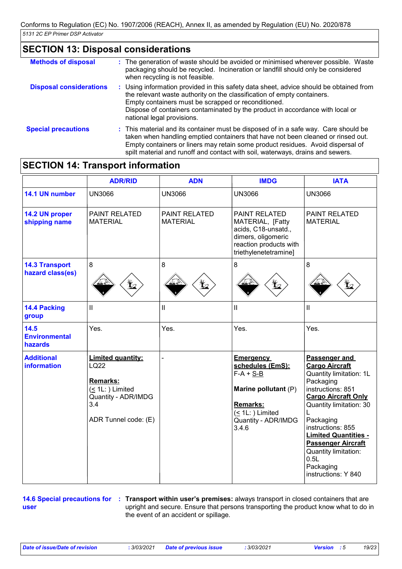# **SECTION 13: Disposal considerations**

| <b>Methods of disposal</b>     | : The generation of waste should be avoided or minimised wherever possible. Waste<br>packaging should be recycled. Incineration or landfill should only be considered<br>when recycling is not feasible.                                                                                                                                     |
|--------------------------------|----------------------------------------------------------------------------------------------------------------------------------------------------------------------------------------------------------------------------------------------------------------------------------------------------------------------------------------------|
| <b>Disposal considerations</b> | : Using information provided in this safety data sheet, advice should be obtained from<br>the relevant waste authority on the classification of empty containers.<br>Empty containers must be scrapped or reconditioned.<br>Dispose of containers contaminated by the product in accordance with local or<br>national legal provisions.      |
| <b>Special precautions</b>     | : This material and its container must be disposed of in a safe way. Care should be<br>taken when handling emptied containers that have not been cleaned or rinsed out.<br>Empty containers or liners may retain some product residues. Avoid dispersal of<br>spilt material and runoff and contact with soil, waterways, drains and sewers. |

# **SECTION 14: Transport information**

|                                           | <b>ADR/RID</b>                                                                                                            | <b>ADN</b>                       | <b>IMDG</b>                                                                                                                                               | <b>IATA</b>                                                                                                                                                                                                                                                                                                                    |
|-------------------------------------------|---------------------------------------------------------------------------------------------------------------------------|----------------------------------|-----------------------------------------------------------------------------------------------------------------------------------------------------------|--------------------------------------------------------------------------------------------------------------------------------------------------------------------------------------------------------------------------------------------------------------------------------------------------------------------------------|
| 14.1 UN number                            | <b>UN3066</b>                                                                                                             | <b>UN3066</b>                    | <b>UN3066</b>                                                                                                                                             | <b>UN3066</b>                                                                                                                                                                                                                                                                                                                  |
| 14.2 UN proper<br>shipping name           | PAINT RELATED<br><b>MATERIAL</b>                                                                                          | PAINT RELATED<br><b>MATERIAL</b> | <b>PAINT RELATED</b><br>MATERIAL, [Fatty<br>acids, C18-unsatd.,<br>dimers, oligomeric<br>reaction products with<br>triethylenetetramine]                  | <b>PAINT RELATED</b><br><b>MATERIAL</b>                                                                                                                                                                                                                                                                                        |
| <b>14.3 Transport</b><br>hazard class(es) | $\bf 8$                                                                                                                   | 8<br>$\bigoplus$                 | $\bf 8$<br>$\bigoplus$                                                                                                                                    | 8                                                                                                                                                                                                                                                                                                                              |
| 14.4 Packing<br>group                     | $\mathbf{II}$                                                                                                             | Ш                                | $\mathbf{I}$                                                                                                                                              | $\mathbf{H}$                                                                                                                                                                                                                                                                                                                   |
| 14.5<br><b>Environmental</b><br>hazards   | Yes.                                                                                                                      | Yes.                             | Yes.                                                                                                                                                      | Yes.                                                                                                                                                                                                                                                                                                                           |
| <b>Additional</b><br>information          | <b>Limited quantity:</b><br>LQ22<br>Remarks:<br>$($ 1L: $)$ Limited<br>Quantity - ADR/IMDG<br>3.4<br>ADR Tunnel code: (E) |                                  | <b>Emergency</b><br>schedules (EmS):<br>$F-A + S-B$<br>Marine pollutant (P)<br><b>Remarks:</b><br>$( \leq 1L$ : ) Limited<br>Quantity - ADR/IMDG<br>3.4.6 | Passenger and<br><b>Cargo Aircraft</b><br>Quantity limitation: 1L<br>Packaging<br>instructions: 851<br><b>Cargo Aircraft Only</b><br>Quantity limitation: 30<br>Packaging<br>instructions: 855<br><b>Limited Quantities -</b><br><b>Passenger Aircraft</b><br>Quantity limitation:<br>0.5L<br>Packaging<br>instructions: Y 840 |

**user**

**14.6 Special precautions for : Transport within user's premises: always transport in closed containers that are** upright and secure. Ensure that persons transporting the product know what to do in the event of an accident or spillage.

*Date of issue/Date of revision* **:** *3/03/2021 Date of previous issue : 3/03/2021 Version : 5 19/23*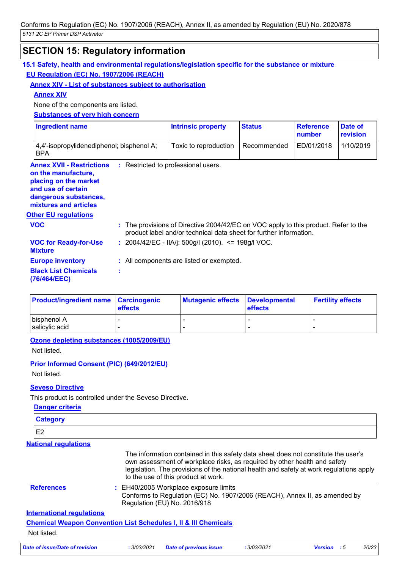# **SECTION 15: Regulatory information**

| Annex XIV - List of substances subject to authorisation                                                              |  |                                                                                                                                                           |               |                            |                     |
|----------------------------------------------------------------------------------------------------------------------|--|-----------------------------------------------------------------------------------------------------------------------------------------------------------|---------------|----------------------------|---------------------|
| <b>Annex XIV</b>                                                                                                     |  |                                                                                                                                                           |               |                            |                     |
| None of the components are listed.                                                                                   |  |                                                                                                                                                           |               |                            |                     |
| <b>Substances of very high concern</b>                                                                               |  |                                                                                                                                                           |               |                            |                     |
| <b>Ingredient name</b>                                                                                               |  | <b>Intrinsic property</b>                                                                                                                                 | <b>Status</b> | <b>Reference</b><br>number | Date of<br>revision |
| 4,4'-isopropylidenediphenol; bisphenol A;<br><b>BPA</b>                                                              |  | Toxic to reproduction                                                                                                                                     | Recommended   | ED/01/2018                 | 1/10/2019           |
| <b>Annex XVII - Restrictions : Restricted to professional users.</b><br>on the manufacture,<br>placing on the market |  |                                                                                                                                                           |               |                            |                     |
|                                                                                                                      |  |                                                                                                                                                           |               |                            |                     |
| and use of certain<br>dangerous substances,<br>mixtures and articles<br><b>Other EU regulations</b><br><b>VOC</b>    |  | : The provisions of Directive 2004/42/EC on VOC apply to this product. Refer to the<br>product label and/or technical data sheet for further information. |               |                            |                     |
| <b>VOC for Ready-for-Use</b><br><b>Mixture</b>                                                                       |  | : 2004/42/EC - IIA/j: 500g/l (2010). <= 198g/l VOC.                                                                                                       |               |                            |                     |
| <b>Europe inventory</b>                                                                                              |  | : All components are listed or exempted.                                                                                                                  |               |                            |                     |

| <b>Product/ingredient name Carcinogenic</b> | <b>effects</b> | Mutagenic effects Developmental | <b>effects</b> | <b>Fertility effects</b> |
|---------------------------------------------|----------------|---------------------------------|----------------|--------------------------|
| bisphenol A<br>salicylic acid               |                |                                 |                |                          |

**Ozone depleting substances (1005/2009/EU)**

Not listed.

**Prior Informed Consent (PIC) (649/2012/EU)**

Not listed.

#### **Seveso Directive**

This product is controlled under the Seveso Directive.

| <b>Category</b>                                                            |                                                                                                                                                                                                                                                                                                   |  |  |
|----------------------------------------------------------------------------|---------------------------------------------------------------------------------------------------------------------------------------------------------------------------------------------------------------------------------------------------------------------------------------------------|--|--|
| E <sub>2</sub>                                                             |                                                                                                                                                                                                                                                                                                   |  |  |
| <b>National regulations</b>                                                |                                                                                                                                                                                                                                                                                                   |  |  |
|                                                                            | The information contained in this safety data sheet does not constitute the user's<br>own assessment of workplace risks, as required by other health and safety<br>legislation. The provisions of the national health and safety at work regulations apply<br>to the use of this product at work. |  |  |
| <b>References</b>                                                          | : EH40/2005 Workplace exposure limits<br>Conforms to Regulation (EC) No. 1907/2006 (REACH), Annex II, as amended by<br>Regulation (EU) No. 2016/918                                                                                                                                               |  |  |
| <b>International requlations</b>                                           |                                                                                                                                                                                                                                                                                                   |  |  |
| <b>Chemical Weapon Convention List Schedules I, II &amp; III Chemicals</b> |                                                                                                                                                                                                                                                                                                   |  |  |
| Not listed.                                                                |                                                                                                                                                                                                                                                                                                   |  |  |
|                                                                            |                                                                                                                                                                                                                                                                                                   |  |  |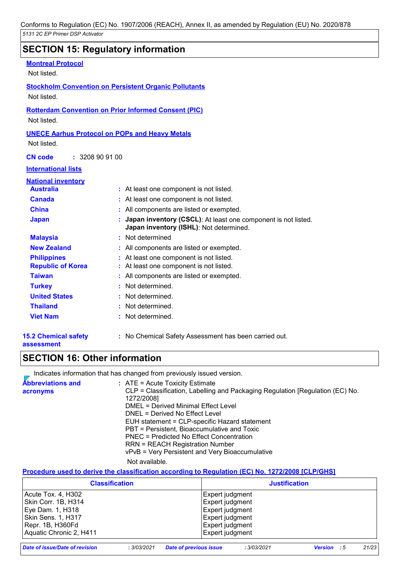# **SECTION 15: Regulatory information**

| <b>Montreal Protocol</b>                                     |                                                                                                            |
|--------------------------------------------------------------|------------------------------------------------------------------------------------------------------------|
| Not listed.                                                  |                                                                                                            |
| <b>Stockholm Convention on Persistent Organic Pollutants</b> |                                                                                                            |
| Not listed.                                                  |                                                                                                            |
| <b>Rotterdam Convention on Prior Informed Consent (PIC)</b>  |                                                                                                            |
| Not listed.                                                  |                                                                                                            |
| <b>UNECE Aarhus Protocol on POPs and Heavy Metals</b>        |                                                                                                            |
| Not listed.                                                  |                                                                                                            |
|                                                              |                                                                                                            |
| : 3208909100<br><b>CN</b> code                               |                                                                                                            |
| <b>International lists</b>                                   |                                                                                                            |
| <b>National inventory</b>                                    |                                                                                                            |
| <b>Australia</b>                                             | : At least one component is not listed.                                                                    |
| <b>Canada</b>                                                | : At least one component is not listed.                                                                    |
| <b>China</b>                                                 | : All components are listed or exempted.                                                                   |
| <b>Japan</b>                                                 | : Japan inventory (CSCL): At least one component is not listed.<br>Japan inventory (ISHL): Not determined. |
| <b>Malaysia</b>                                              | : Not determined                                                                                           |
| <b>New Zealand</b>                                           | : All components are listed or exempted.                                                                   |
| <b>Philippines</b>                                           | : At least one component is not listed.                                                                    |
| <b>Republic of Korea</b>                                     | : At least one component is not listed.                                                                    |
| <b>Taiwan</b>                                                | : All components are listed or exempted.                                                                   |
| <b>Turkey</b>                                                | : Not determined.                                                                                          |
| <b>United States</b>                                         | Not determined.                                                                                            |
| <b>Thailand</b>                                              | : Not determined.                                                                                          |
| <b>Viet Nam</b>                                              | : Not determined.                                                                                          |
| <b>15.2 Chemical safety</b>                                  | : No Chemical Safety Assessment has been carried out.                                                      |

#### **assessment**

**:** No Chemical Safety Assessment has been carried out.

## **SECTION 16: Other information**

Indicates information that has changed from previously issued version.

| <b>Abbreviations and</b> | $\therefore$ ATE = Acute Toxicity Estimate                                    |
|--------------------------|-------------------------------------------------------------------------------|
| acronyms                 | CLP = Classification, Labelling and Packaging Regulation [Regulation (EC) No. |
|                          | 1272/2008]                                                                    |
|                          | DMEL = Derived Minimal Effect Level                                           |
|                          | DNEL = Derived No Effect Level                                                |
|                          | EUH statement = CLP-specific Hazard statement                                 |
|                          | PBT = Persistent, Bioaccumulative and Toxic                                   |
|                          | PNEC = Predicted No Effect Concentration                                      |
|                          | <b>RRN = REACH Registration Number</b>                                        |
|                          | vPvB = Very Persistent and Very Bioaccumulative                               |
|                          | Not available.                                                                |

#### **Procedure used to derive the classification according to Regulation (EC) No. 1272/2008 [CLP/GHS]**

| <b>Classification</b>   | <b>Justification</b> |
|-------------------------|----------------------|
| Acute Tox. 4, H302      | Expert judgment      |
| Skin Corr. 1B, H314     | Expert judgment      |
| Eye Dam. 1, H318        | Expert judgment      |
| Skin Sens. 1, H317      | Expert judgment      |
| Repr. 1B, H360Fd        | Expert judgment      |
| Aquatic Chronic 2, H411 | Expert judgment      |

*Date of issue/Date of revision* **:** *3/03/2021 Date of previous issue : 3/03/2021 Version : 5 21/23*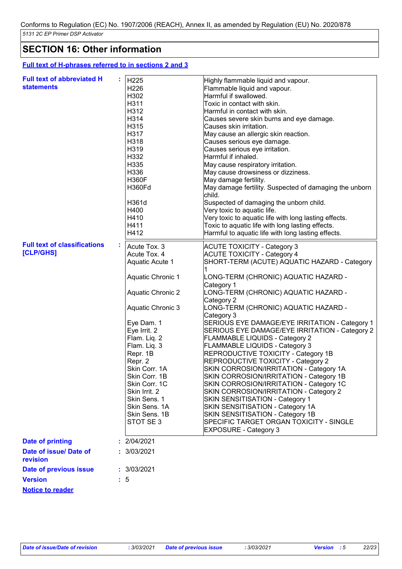# **SECTION 16: Other information**

#### **Full text of H-phrases referred to in sections 2 and 3**

| <b>Full text of abbreviated H</b><br><b>statements</b> | H <sub>225</sub><br>H <sub>226</sub><br>H302<br>H311<br>H312<br>H314<br>H315<br>H317<br>H318<br>H319<br>H332<br>H335<br>H336<br><b>H360F</b><br><b>H360Fd</b><br>H361d<br>H400<br>H410<br>H411<br>H412                          | Highly flammable liquid and vapour.<br>Flammable liquid and vapour.<br>Harmful if swallowed.<br>Toxic in contact with skin.<br>Harmful in contact with skin.<br>Causes severe skin burns and eye damage.<br>Causes skin irritation.<br>May cause an allergic skin reaction.<br>Causes serious eye damage.<br>Causes serious eye irritation.<br>Harmful if inhaled.<br>May cause respiratory irritation.<br>May cause drowsiness or dizziness.<br>May damage fertility.<br>May damage fertility. Suspected of damaging the unborn<br>child.<br>Suspected of damaging the unborn child.<br>Very toxic to aquatic life.<br>Very toxic to aquatic life with long lasting effects.<br>Toxic to aquatic life with long lasting effects.<br>Harmful to aquatic life with long lasting effects. |
|--------------------------------------------------------|---------------------------------------------------------------------------------------------------------------------------------------------------------------------------------------------------------------------------------|-----------------------------------------------------------------------------------------------------------------------------------------------------------------------------------------------------------------------------------------------------------------------------------------------------------------------------------------------------------------------------------------------------------------------------------------------------------------------------------------------------------------------------------------------------------------------------------------------------------------------------------------------------------------------------------------------------------------------------------------------------------------------------------------|
| <b>Full text of classifications</b><br>[CLP/GHS]       | Acute Tox. 3<br>Acute Tox. 4                                                                                                                                                                                                    | <b>ACUTE TOXICITY - Category 3</b><br><b>ACUTE TOXICITY - Category 4</b>                                                                                                                                                                                                                                                                                                                                                                                                                                                                                                                                                                                                                                                                                                                |
|                                                        | <b>Aquatic Acute 1</b>                                                                                                                                                                                                          | SHORT-TERM (ACUTE) AQUATIC HAZARD - Category                                                                                                                                                                                                                                                                                                                                                                                                                                                                                                                                                                                                                                                                                                                                            |
|                                                        | <b>Aquatic Chronic 1</b>                                                                                                                                                                                                        | -ONG-TERM (CHRONIC) AQUATIC HAZARD.                                                                                                                                                                                                                                                                                                                                                                                                                                                                                                                                                                                                                                                                                                                                                     |
|                                                        | <b>Aquatic Chronic 2</b>                                                                                                                                                                                                        | Category 1<br>-ONG-TERM (CHRONIC) AQUATIC HAZARD.                                                                                                                                                                                                                                                                                                                                                                                                                                                                                                                                                                                                                                                                                                                                       |
|                                                        | <b>Aquatic Chronic 3</b>                                                                                                                                                                                                        | Category 2<br>-ONG-TERM (CHRONIC) AQUATIC HAZARD.                                                                                                                                                                                                                                                                                                                                                                                                                                                                                                                                                                                                                                                                                                                                       |
|                                                        | Eye Dam. 1<br>Eye Irrit. 2<br>Flam. Liq. 2<br>Flam. Liq. 3<br>Repr. 1B<br>Repr. 2<br>Skin Corr. 1A<br>Skin Corr. 1B<br>Skin Corr. 1C<br>Skin Irrit. 2<br>Skin Sens. 1<br>Skin Sens, 1A<br>Skin Sens, 1B<br>STOT SE <sub>3</sub> | Category 3<br>SERIOUS EYE DAMAGE/EYE IRRITATION - Category 1<br>SERIOUS EYE DAMAGE/EYE IRRITATION - Category 2<br><b>FLAMMABLE LIQUIDS - Category 2</b><br>FLAMMABLE LIQUIDS - Category 3<br>REPRODUCTIVE TOXICITY - Category 1B<br>REPRODUCTIVE TOXICITY - Category 2<br>SKIN CORROSION/IRRITATION - Category 1A<br>SKIN CORROSION/IRRITATION - Category 1B<br>SKIN CORROSION/IRRITATION - Category 1C<br>SKIN CORROSION/IRRITATION - Category 2<br>SKIN SENSITISATION - Category 1<br>SKIN SENSITISATION - Category 1A<br>SKIN SENSITISATION - Category 1B<br>SPECIFIC TARGET ORGAN TOXICITY - SINGLE<br><b>EXPOSURE - Category 3</b>                                                                                                                                                 |
| <b>Date of printing</b>                                | : 2/04/2021                                                                                                                                                                                                                     |                                                                                                                                                                                                                                                                                                                                                                                                                                                                                                                                                                                                                                                                                                                                                                                         |
| Date of issue/ Date of<br>revision                     | : 3/03/2021                                                                                                                                                                                                                     |                                                                                                                                                                                                                                                                                                                                                                                                                                                                                                                                                                                                                                                                                                                                                                                         |
| Date of previous issue                                 | : 3/03/2021                                                                                                                                                                                                                     |                                                                                                                                                                                                                                                                                                                                                                                                                                                                                                                                                                                                                                                                                                                                                                                         |
| <b>Version</b>                                         | $\therefore$ 5                                                                                                                                                                                                                  |                                                                                                                                                                                                                                                                                                                                                                                                                                                                                                                                                                                                                                                                                                                                                                                         |
| <b>Notice to reader</b>                                |                                                                                                                                                                                                                                 |                                                                                                                                                                                                                                                                                                                                                                                                                                                                                                                                                                                                                                                                                                                                                                                         |